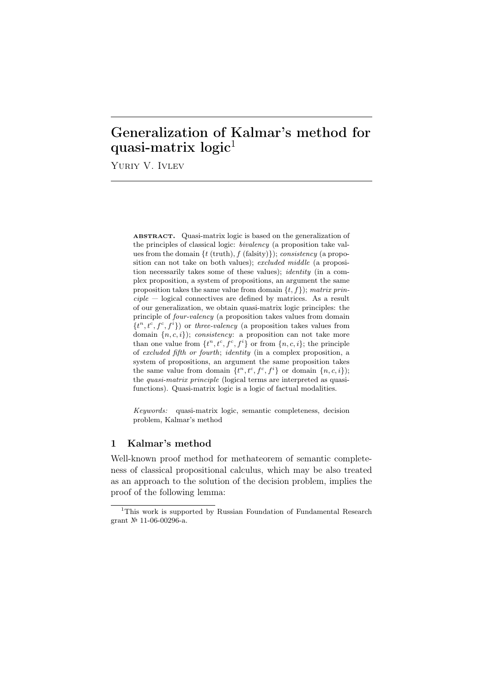# Generalization of Kalmar's method for quasi-matrix logic<sup>1</sup>

Yuriy V. Ivlev

ABSTRACT. Quasi-matrix logic is based on the generalization of the principles of classical logic: *bivalency* (a proposition take values from the domain *{t* (truth)*, f* (falsity)*}*); *consistency* (a proposition can not take on both values); *excluded middle* (a proposition necessarily takes some of these values); *identity* (in a complex proposition, a system of propositions, an argument the same proposition takes the same value from domain *{t, f}*); *matrix principle* — logical connectives are defined by matrices. As a result of our generalization, we obtain quasi-matrix logic principles: the principle of *four-valency* (a proposition takes values from domain  $\{t^n, t^c, f^c, f^i\}$  or *three-valency* (a proposition takes values from domain *{n, c, i}*); *consistency*: a proposition can not take more than one value from  $\{t^n, t^c, f^c, f^i\}$  or from  $\{n, c, i\}$ ; the principle of *excluded fifth or fourth*; *identity* (in a complex proposition, a system of propositions, an argument the same proposition takes the same value from domain  $\{t^n, t^c, f^c, f^i\}$  or domain  $\{n, c, i\}$ ; the *quasi-matrix principle* (logical terms are interpreted as quasifunctions). Quasi-matrix logic is a logic of factual modalities.

*Keywords:* quasi-matrix logic, semantic completeness, decision problem, Kalmar's method

# 1 Kalmar's method

Well-known proof method for methateorem of semantic completeness of classical propositional calculus, which may be also treated as an approach to the solution of the decision problem, implies the proof of the following lemma:

<sup>&</sup>lt;sup>1</sup>This work is supported by Russian Foundation of Fundamental Research grant № 11-06-00296-a.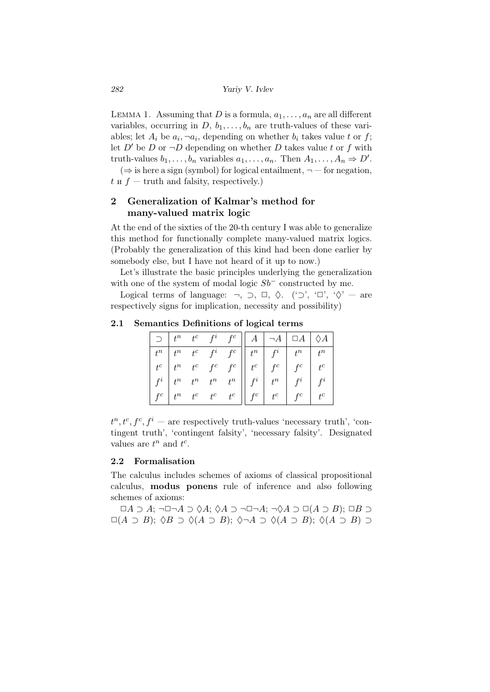LEMMA 1. Assuming that *D* is a formula,  $a_1, \ldots, a_n$  are all different variables, occurring in  $D, b_1, \ldots, b_n$  are truth-values of these variables; let  $A_i$  be  $a_i, \neg a_i$ , depending on whether  $b_i$  takes value  $t$  or  $f$ ; let  $D'$  be  $D$  or  $\neg D$  depending on whether  $D$  takes value  $t$  or  $f$  with truth-values  $b_1, \ldots, b_n$  variables  $a_1, \ldots, a_n$ . Then  $A_1, \ldots, A_n \Rightarrow D'$ .

(*⇒* is here a sign (symbol) for logical entailment, *¬* — for negation,  $t \times f$  — truth and falsity, respectively.)

# 2 Generalization of Kalmar's method for many-valued matrix logic

At the end of the sixties of the 20-th century I was able to generalize this method for functionally complete many-valued matrix logics. (Probably the generalization of this kind had been done earlier by somebody else, but I have not heard of it up to now.)

Let's illustrate the basic principles underlying the generalization with one of the system of modal logic *Sb<sup>−</sup>* constructed by me.

Logical terms of language: *¬*, *⊃*, *✷*, ♢. ('*⊃*', '*✷*', '♢' — are respectively signs for implication, necessity and possibility)

|  |  |  |  | $\supset \begin{array}{c c c c c c} \hline \end{array} \begin{array}{c c c c} t^n & f^c & f^c & A & \hline \end{array} \begin{array}{c c c} \hline A & A & B \end{array} \begin{array}{c c c} \hline \end{array} \begin{array}{c c c} \end{array} \begin{array}{c c c} \end{array} \begin{array}{c c c} \end{array} \begin{array}{c c c} \end{array} \begin{array}{c c c} \end{array} \begin{array}{c c} \end{array} \begin{array}{c c} \end{array} \begin{array}{c $ |  |
|--|--|--|--|-----------------------------------------------------------------------------------------------------------------------------------------------------------------------------------------------------------------------------------------------------------------------------------------------------------------------------------------------------------------------------------------------------------------------------------------------------------------------|--|
|  |  |  |  |                                                                                                                                                                                                                                                                                                                                                                                                                                                                       |  |
|  |  |  |  |                                                                                                                                                                                                                                                                                                                                                                                                                                                                       |  |
|  |  |  |  |                                                                                                                                                                                                                                                                                                                                                                                                                                                                       |  |
|  |  |  |  | $\begin{tabular}{ c c c c c } \hline $t^n$ & $t^n$ & $t^c$ & $f^i$ & $f^c$ & $t^n$ & $t^n$ & $t^n$ \\ $t^c$ & $t^n$ & $t^c$ & $f^c$ & $t^c$ & $f^c$ & $f^c$ & $t^c$ \\ $f^i$ & $t^n$ & $t^n$ & $t^n$ & $t^n$ & $f^i$ & $f^i$ & $f^i$ \\ $f^c$ & $t^n$ & $t^c$ & $t^c$ & $t^c$ & $f^c$ & $f^c$ & $f^c$ & $t^c$ \\ \hline \end{tabular}$                                                                                                                                |  |

2.1 Semantics Definitions of logical terms

 $t^n, t^c, f^c, f^i$  — are respectively truth-values 'necessary truth', 'contingent truth', 'contingent falsity', 'necessary falsity'. Designated values are  $t^n$  and  $t^c$ .

#### 2.2 Formalisation

The calculus includes schemes of axioms of classical propositional calculus, modus ponens rule of inference and also following schemes of axioms:

 $\Box A \supset A$ ;  $\neg \Box \neg A \supset \Diamond A$ ;  $\Diamond A \supset \neg \Box \neg A$ ;  $\neg \Diamond A \supset \Box(A \supset B)$ ;  $\Box B \supset$ *✷*(*A ⊃ B*); ♢*B ⊃* ♢(*A ⊃ B*); ♢*¬A ⊃* ♢(*A ⊃ B*); ♢(*A ⊃ B*) *⊃*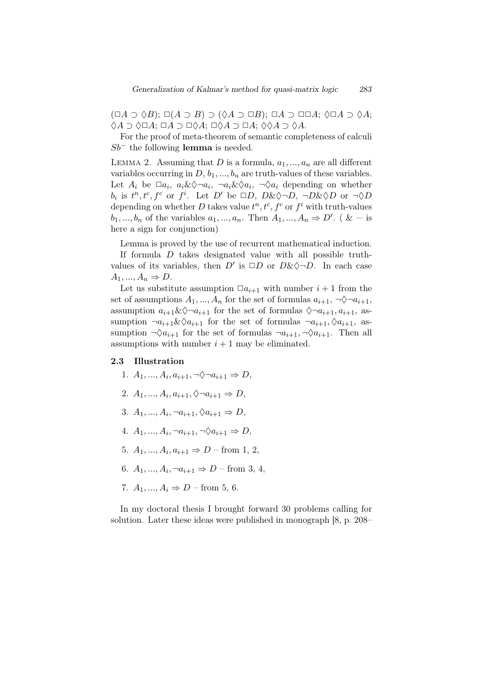$(□A ∋ ∆B);$   $□(A ∋ B) ∋ (♦A ∋ ∪B);$   $□A ⊃ ∪□A;$   $♦□A ⊃ ∆A;$ ♢*A ⊃* ♢*✷A*; *✷A ⊃ ✷*♢*A*; *✷*♢*A ⊃ ✷A*; ♢♢*A ⊃* ♢*A*.

For the proof of meta-theorem of semantic completeness of calculi *Sb*<sup>−</sup> the following lemma is needed.

LEMMA 2. Assuming that  $D$  is a formula,  $a_1, ..., a_n$  are all different variables occurring in  $D, b_1, ..., b_n$  are truth-values of these variables. Let  $A_i$  be  $\Box a_i$ ,  $a_i \& \Diamond \neg a_i$ ,  $\neg a_i \& \Diamond a_i$ ,  $\neg \Diamond a_i$  depending on whether *b*<sub>*i*</sub> is  $t^n, t^c, f^c$  or  $f^i$ . Let *D'* be  $\Box D, D \& \Diamond \neg D, \neg D \& \Diamond D$  or  $\neg \Diamond D$ depending on whether D takes value  $t^n, t^c, f^c$  or  $f^i$  with truth-values  $b_1, ..., b_n$  of the variables  $a_1, ..., a_n$ . Then  $A_1, ..., A_n \Rightarrow D'$ . ( & — is here a sign for conjunction)

Lemma is proved by the use of recurrent mathematical induction.

If formula *D* takes designated value with all possible truthvalues of its variables, then  $D'$  is  $\Box D$  or  $D \& \Diamond \neg D$ . In each case  $A_1, \ldots, A_n \Rightarrow D.$ 

Let us substitute assumption  $\Box a_{i+1}$  with number  $i+1$  from the set of assumptions  $A_1, ..., A_n$  for the set of formulas  $a_{i+1}, \neg \Diamond \neg a_{i+1}$ , assumption  $a_{i+1} \& \Diamond \neg a_{i+1}$  for the set of formulas  $\Diamond \neg a_{i+1}, a_{i+1}$ , assumption  $\neg a_{i+1} \& \Diamond a_{i+1}$  for the set of formulas  $\neg a_{i+1}, \Diamond a_{i+1}$ , assumption  $\neg \Diamond a_{i+1}$  for the set of formulas  $\neg a_{i+1}, \neg \Diamond a_{i+1}$ . Then all assumptions with number  $i + 1$  may be eliminated.

#### 2.3 Illustration

- 1.  $A_1, ..., A_i, a_{i+1}, \neg \Diamond \neg a_{i+1} \Rightarrow D$ ,
- 2.  $A_1, ..., A_i, a_{i+1}, \Diamond \neg a_{i+1} \Rightarrow D$ ,
- 3.  $A_1, ..., A_i, \neg a_{i+1}, \Diamond a_{i+1} \Rightarrow D$ ,
- 4.  $A_1, ..., A_i, \neg a_{i+1}, \neg \Diamond a_{i+1} \Rightarrow D$ ,
- 5.  $A_1, ..., A_i, a_{i+1} \Rightarrow D$  from 1, 2,
- 6.  $A_1, ..., A_i, \neg a_{i+1} \Rightarrow D \text{from } 3, 4,$
- 7.  $A_1, ..., A_i \Rightarrow D$  from 5, 6.

In my doctoral thesis I brought forward 30 problems calling for solution. Later these ideas were published in monograph [8, p. 208–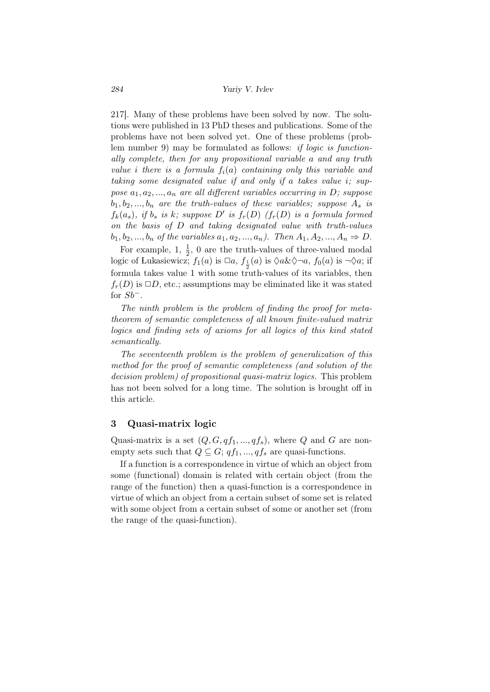217]. Many of these problems have been solved by now. The solutions were published in 13 PhD theses and publications. Some of the problems have not been solved yet. One of these problems (problem number 9) may be formulated as follows: *if logic is functionally complete, then for any propositional variable a and any truth value i there is a formula fi*(*a*) *containing only this variable and taking some designated value if and only if a takes value i; suppose*  $a_1, a_2, \ldots, a_n$  *are all different variables occurring in D; suppose*  $b_1, b_2, \ldots, b_n$  *are the truth-values of these variables; suppose*  $A_s$  *is f*<sub>k</sub> $(a_s)$ *, if b<sub>s</sub> is k; suppose D*<sup>*'*</sup> *is f<sub>r</sub>*(*D*) *(f<sub>r</sub>*(*D*) *is a formula formed on the basis of D and taking designated value with truth-values b*<sub>1</sub>*, b*<sub>2</sub>*, ..., b<sub>n</sub> of the variables*  $a_1, a_2, ..., a_n$ *). Then*  $A_1, A_2, ..., A_n \Rightarrow D$ .

For example, 1,  $\frac{1}{2}$ , 0 are the truth-values of three-valued modal logic of Lukasiewicz;  $f_1(a)$  is  $\Box a$ ,  $f_{\frac{1}{2}}(a)$  is  $\Diamond a \& \Diamond \neg a$ ,  $f_0(a)$  is  $\neg \Diamond a$ ; if formula takes value 1 with some truth-values of its variables, then  $f_r(D)$  is  $\Box D$ , etc.; assumptions may be eliminated like it was stated for *Sb−*.

*The ninth problem is the problem of finding the proof for metatheorem of semantic completeness of all known finite-valued matrix logics and finding sets of axioms for all logics of this kind stated semantically.*

*The seventeenth problem is the problem of generalization of this method for the proof of semantic completeness (and solution of the decision problem) of propositional quasi-matrix logics.* This problem has not been solved for a long time. The solution is brought off in this article.

## 3 Quasi-matrix logic

Quasi-matrix is a set  $(Q, G, qf_1, ..., qf_s)$ , where *Q* and *G* are nonempty sets such that  $Q \subseteq G$ ;  $qf_1, ..., qf_s$  are quasi-functions.

If a function is a correspondence in virtue of which an object from some (functional) domain is related with certain object (from the range of the function) then a quasi-function is a correspondence in virtue of which an object from a certain subset of some set is related with some object from a certain subset of some or another set (from the range of the quasi-function).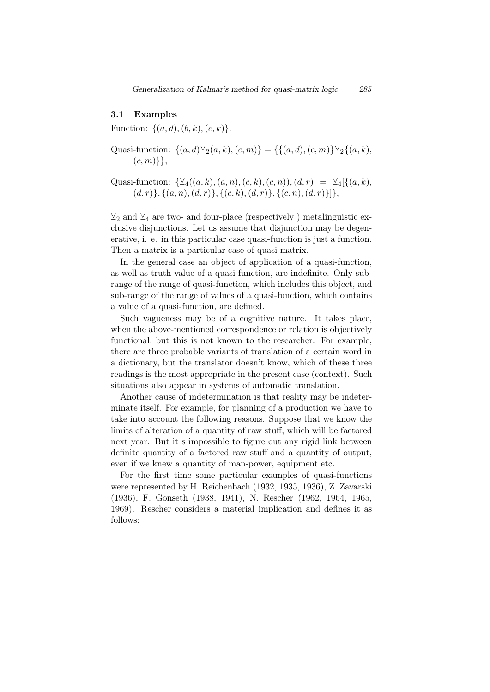### 3.1 Examples

Function: *{*(*a, d*)*,*(*b, k*)*,*(*c, k*)*}*.

- Quasi-function:  $\{(a, d) \veeeq_2(a, k), (c, m)\} = \{\{(a, d), (c, m)\} \veeeq_2\{(a, k), (b, m)\}$ (*c, m*)*}}*,
- Quasi-function:  $\{\mathcal{Y}_4((a, k), (a, n), (c, k), (c, n)), (d, r) = \mathcal{Y}_4[\{(a, k),$  $(d, r)$ ,  $\{(a, n), (d, r)\}$ ,  $\{(c, k), (d, r)\}$ ,  $\{(c, n), (d, r)\}$ ,

 $\vee_2$  and  $\vee_4$  are two- and four-place (respectively ) metalinguistic exclusive disjunctions. Let us assume that disjunction may be degenerative, i. e. in this particular case quasi-function is just a function. Then a matrix is a particular case of quasi-matrix.

In the general case an object of application of a quasi-function, as well as truth-value of a quasi-function, are indefinite. Only subrange of the range of quasi-function, which includes this object, and sub-range of the range of values of a quasi-function, which contains a value of a quasi-function, are defined.

Such vagueness may be of a cognitive nature. It takes place, when the above-mentioned correspondence or relation is objectively functional, but this is not known to the researcher. For example, there are three probable variants of translation of a certain word in a dictionary, but the translator doesn't know, which of these three readings is the most appropriate in the present case (context). Such situations also appear in systems of automatic translation.

Another cause of indetermination is that reality may be indeterminate itself. For example, for planning of a production we have to take into account the following reasons. Suppose that we know the limits of alteration of a quantity of raw stuff, which will be factored next year. But it s impossible to figure out any rigid link between definite quantity of a factored raw stuff and a quantity of output, even if we knew a quantity of man-power, equipment etc.

For the first time some particular examples of quasi-functions were represented by H. Reichenbach (1932, 1935, 1936), Z. Zavarski (1936), F. Gonseth (1938, 1941), N. Rescher (1962, 1964, 1965, 1969). Rescher considers a material implication and defines it as follows: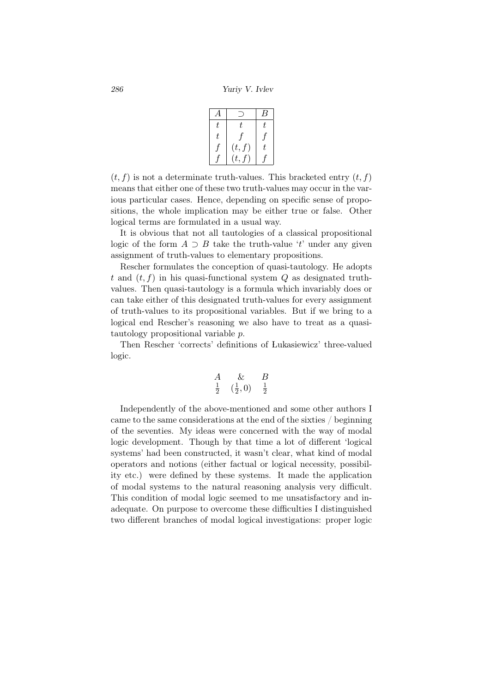*286 Yuriy V. Ivlev*

|    |                  | К  |
|----|------------------|----|
| t. | t.               | t. |
| t. |                  |    |
|    | (t, f)           | t. |
|    | $\overline{t}$ . |    |

 $(t, f)$  is not a determinate truth-values. This bracketed entry  $(t, f)$ means that either one of these two truth-values may occur in the various particular cases. Hence, depending on specific sense of propositions, the whole implication may be either true or false. Other logical terms are formulated in a usual way.

It is obvious that not all tautologies of a classical propositional logic of the form  $A \supset B$  take the truth-value '*t*' under any given assignment of truth-values to elementary propositions.

Rescher formulates the conception of quasi-tautology. He adopts  $t$  and  $(t, f)$  in his quasi-functional system  $Q$  as designated truthvalues. Then quasi-tautology is a formula which invariably does or can take either of this designated truth-values for every assignment of truth-values to its propositional variables. But if we bring to a logical end Rescher's reasoning we also have to treat as a quasitautology propositional variable *p*.

Then Rescher 'corrects' definitions of Lukasiewicz' three-valued logic.

$$
\begin{array}{ccc}\nA & \& & B \\
\frac{1}{2} & (\frac{1}{2}, 0) & \frac{1}{2}\n\end{array}
$$

Independently of the above-mentioned and some other authors I came to the same considerations at the end of the sixties / beginning of the seventies. My ideas were concerned with the way of modal logic development. Though by that time a lot of different 'logical systems' had been constructed, it wasn't clear, what kind of modal operators and notions (either factual or logical necessity, possibility etc.) were defined by these systems. It made the application of modal systems to the natural reasoning analysis very difficult. This condition of modal logic seemed to me unsatisfactory and inadequate. On purpose to overcome these difficulties I distinguished two different branches of modal logical investigations: proper logic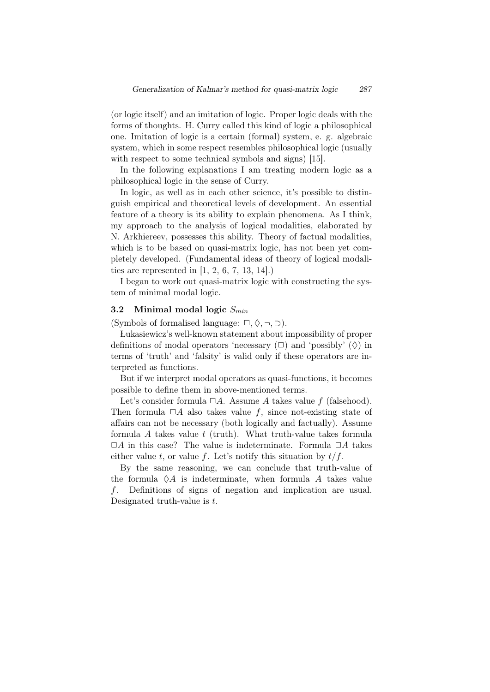(or logic itself) and an imitation of logic. Proper logic deals with the forms of thoughts. H. Curry called this kind of logic a philosophical one. Imitation of logic is a certain (formal) system, e. g. algebraic system, which in some respect resembles philosophical logic (usually with respect to some technical symbols and signs) [15].

In the following explanations I am treating modern logic as a philosophical logic in the sense of Curry.

In logic, as well as in each other science, it's possible to distinguish empirical and theoretical levels of development. An essential feature of a theory is its ability to explain phenomena. As I think, my approach to the analysis of logical modalities, elaborated by N. Arkhiereev, possesses this ability. Theory of factual modalities, which is to be based on quasi-matrix logic, has not been yet completely developed. (Fundamental ideas of theory of logical modalities are represented in  $[1, 2, 6, 7, 13, 14]$ .

I began to work out quasi-matrix logic with constructing the system of minimal modal logic.

# 3.2 Minimal modal logic *Smin*

(Symbols of formalised language:  $\Box$ ,  $\Diamond$ ,  $\neg$ ,  $\Box$ ).

 Lukasiewicz's well-known statement about impossibility of proper definitions of modal operators 'necessary  $(\Box)$  and 'possibly'  $(\Diamond)$  in terms of 'truth' and 'falsity' is valid only if these operators are interpreted as functions.

But if we interpret modal operators as quasi-functions, it becomes possible to define them in above-mentioned terms.

Let's consider formula  $\Box A$ . Assume *A* takes value *f* (falsehood). Then formula  $\Box A$  also takes value *f*, since not-existing state of affairs can not be necessary (both logically and factually). Assume formula *A* takes value *t* (truth). What truth-value takes formula  $\Box A$  in this case? The value is indeterminate. Formula  $\Box A$  takes either value *t*, or value *f*. Let's notify this situation by  $t/f$ .

By the same reasoning, we can conclude that truth-value of the formula  $\Diamond A$  is indeterminate, when formula  $A$  takes value *f*. Definitions of signs of negation and implication are usual. Designated truth-value is *t*.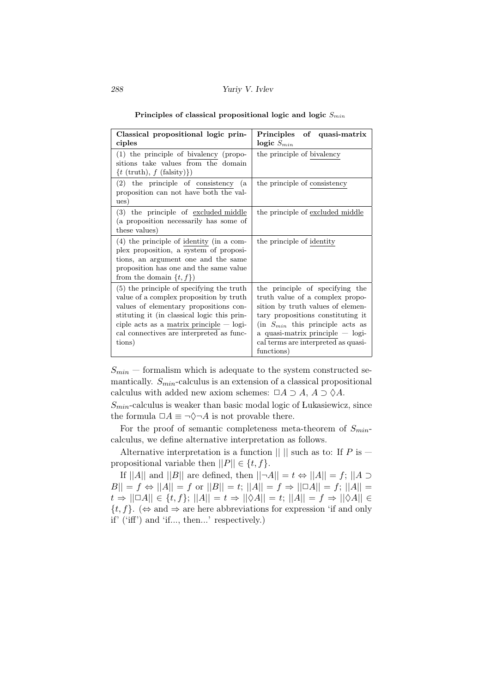| Classical propositional logic prin-<br>ciples                                                                                                                                                                                                                                     | of quasi-matrix<br>Principles<br>logic $S_{min}$                                                                                                                                                                                                                              |
|-----------------------------------------------------------------------------------------------------------------------------------------------------------------------------------------------------------------------------------------------------------------------------------|-------------------------------------------------------------------------------------------------------------------------------------------------------------------------------------------------------------------------------------------------------------------------------|
| $(1)$ the principle of bivalency (propo-<br>sitions take values from the domain<br>$\{t \text{ (truth)}, f \text{ (falsity)}\}\$                                                                                                                                                  | the principle of bivalency                                                                                                                                                                                                                                                    |
| $(2)$ the principle of consistency<br>(a)<br>proposition can not have both the val-<br>ues)                                                                                                                                                                                       | the principle of consistency                                                                                                                                                                                                                                                  |
| $(3)$ the principle of excluded middle<br>(a proposition necessarily has some of<br>these values)                                                                                                                                                                                 | the principle of excluded middle                                                                                                                                                                                                                                              |
| $(4)$ the principle of identity (in a com-<br>plex proposition, a system of proposi-<br>tions, an argument one and the same<br>proposition has one and the same value<br>from the domain $\{t, f\}$                                                                               | the principle of identity                                                                                                                                                                                                                                                     |
| $(5)$ the principle of specifying the truth<br>value of a complex proposition by truth<br>values of elementary propositions con-<br>stituting it (in classical logic this prin-<br>ciple acts as a matrix principle $-\log$<br>cal connectives are interpreted as func-<br>tions) | the principle of specifying the<br>truth value of a complex propo-<br>sition by truth values of elemen-<br>tary propositions constituting it<br>(in $S_{min}$ this principle acts as<br>a quasi-matrix principle — logi-<br>cal terms are interpreted as quasi-<br>functions) |

Principles of classical propositional logic and logic *Smin*

 $S_{min}$  — formalism which is adequate to the system constructed semantically. *Smin*-calculus is an extension of a classical propositional calculus with added new axiom schemes:  $\Box A \supset A$ ,  $A \supset \Diamond A$ .

*Smin*-calculus is weaker than basic modal logic of Lukasiewicz, since the formula  $\Box A \equiv \neg \Diamond \neg A$  is not provable there.

For the proof of semantic completeness meta-theorem of *Smin*calculus, we define alternative interpretation as follows.

Alternative interpretation is a function  $|| \cdot ||$  such as to: If *P* is – propositional variable then  $||P|| \in \{t, f\}.$ 

If  $||A||$  and  $||B||$  are defined, then  $||\neg A|| = t \Leftrightarrow ||A|| = f$ ;  $||A \supset$  $B|| = f \Leftrightarrow ||A|| = f$  or  $||B|| = t$ ;  $||A|| = f \Rightarrow ||\Box A|| = f$ ;  $||A|| =$ *t*  $\Rightarrow$  ||□A|| ∈ {*t, f*}; ||A|| = *t*  $\Rightarrow$  ||◇A|| = *t*; ||A|| = *f*  $\Rightarrow$  ||◇A|| ∈  $\{t, f\}$ . ( $\Leftrightarrow$  and  $\Rightarrow$  are here abbreviations for expression 'if and only if' ('iff') and 'if..., then...' respectively.)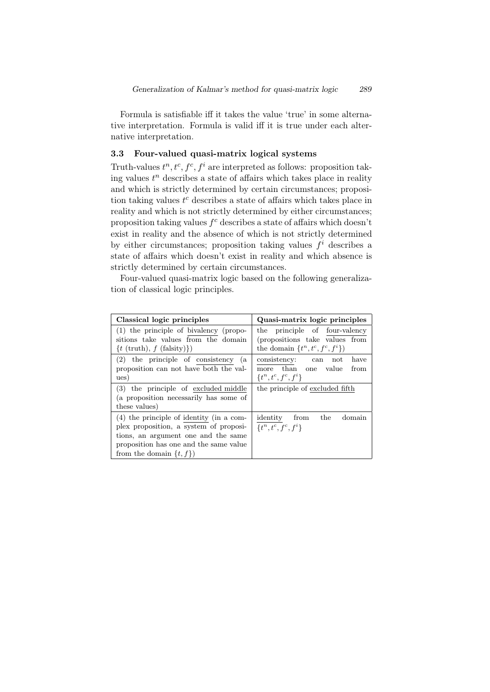Formula is satisfiable iff it takes the value 'true' in some alternative interpretation. Formula is valid iff it is true under each alternative interpretation.

## 3.3 Four-valued quasi-matrix logical systems

Truth-values  $t^n, t^c, f^c, f^i$  are interpreted as follows: proposition taking values  $t^n$  describes a state of affairs which takes place in reality and which is strictly determined by certain circumstances; proposition taking values *t <sup>c</sup>* describes a state of affairs which takes place in reality and which is not strictly determined by either circumstances; proposition taking values *f <sup>c</sup>* describes a state of affairs which doesn't exist in reality and the absence of which is not strictly determined by either circumstances; proposition taking values  $f^i$  describes a state of affairs which doesn't exist in reality and which absence is strictly determined by certain circumstances.

Four-valued quasi-matrix logic based on the following generalization of classical logic principles.

| Classical logic principles                    | Quasi-matrix logic principles       |  |  |  |  |  |
|-----------------------------------------------|-------------------------------------|--|--|--|--|--|
| $(1)$ the principle of bivalency (propo-      | the principle of four-valency       |  |  |  |  |  |
| sitions take values from the domain           | (propositions take values from      |  |  |  |  |  |
| $\{t \text{ (truth)}, f \text{ (falsity)}\}\$ | the domain $\{t^n, t^c, f^c, f^i\}$ |  |  |  |  |  |
| $(2)$ the principle of consistency<br>(a      | consistency: can not<br>have        |  |  |  |  |  |
| proposition can not have both the val-        | more than one value<br>from         |  |  |  |  |  |
| ues)                                          | $\{t^n, t^c, f^c, f^i\}$            |  |  |  |  |  |
| (3) the principle of excluded middle          | the principle of excluded fifth     |  |  |  |  |  |
| (a proposition necessarily has some of        |                                     |  |  |  |  |  |
| these values)                                 |                                     |  |  |  |  |  |
| $(4)$ the principle of identity (in a com-    | identity from<br>the<br>domain      |  |  |  |  |  |
| plex proposition, a system of proposi-        | $\{t^n, t^c, f^c, f^i\}$            |  |  |  |  |  |
| tions, an argument one and the same           |                                     |  |  |  |  |  |
| proposition has one and the same value        |                                     |  |  |  |  |  |
| from the domain $\{t, f\}$                    |                                     |  |  |  |  |  |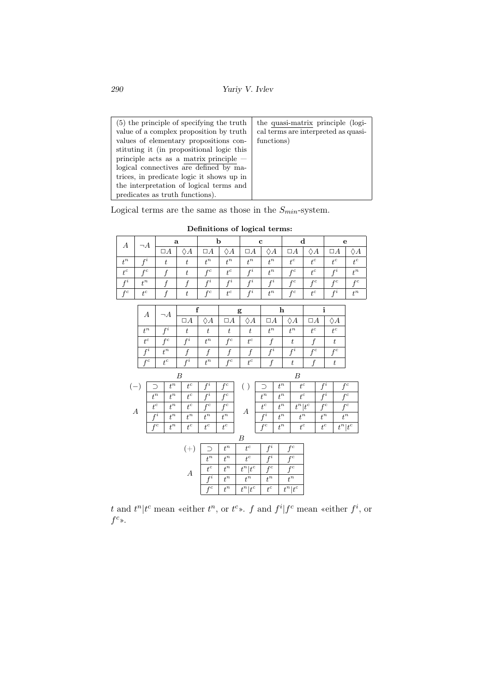*290 Yuriy V. Ivlev*

| (5) the principle of specifying the truth | the quasi-matrix principle (logi-   |
|-------------------------------------------|-------------------------------------|
| value of a complex proposition by truth   | cal terms are interpreted as quasi- |
| values of elementary propositions con-    | functions)                          |
| stituting it (in propositional logic this |                                     |
| principle acts as a matrix principle $-$  |                                     |
| logical connectives are defined by ma-    |                                     |
| trices, in predicate logic it shows up in |                                     |
| the interpretation of logical terms and   |                                     |
| predicates as truth functions).           |                                     |

Logical terms are the same as those in the  $S_{min}$ -system.

| А            |                  | ີ          |  |                  |         | c            |                |                |                | e              |                |
|--------------|------------------|------------|--|------------------|---------|--------------|----------------|----------------|----------------|----------------|----------------|
|              | A                | $\sqcup A$ |  | $\sqcup A$       | A       | $\sqcup A$   | А              | $\sqcup A$     | A              | $\Box A$       | Ά              |
| $\mathbf{r}$ | $^{\circ}$       |            |  | $+^n$            | $^{4n}$ | $^{4n}$      | $^{4n}$        | $_{4}c$        | $_{\rm +C}$    | $_{\pm c}$     | $_{4}c$        |
| $_{1}c$      | $_{\mathcal{C}}$ |            |  | $_{\mathcal{C}}$ | $_{1}c$ | $\mathbf{r}$ | $\mathbf{r}$   | $\overline{C}$ | $\overline{c}$ | P <sub>2</sub> | $\overline{r}$ |
| $r_{l}$      | $\mathbf{I}^n$   |            |  | $f^i$            | $r_{l}$ | $r_{l}$      | $r_{l}$        | £С             | £С             | £С             | £С             |
| £С           | $_{1}c$          |            |  | £С               | $+^c$   | $r_{i}$      | $\mathbf{I}^n$ | £С             | $_{1}c$        | $r_{l}$        | $\mathbf{I}^n$ |

Definitions of logical terms:

|                  |                  |                  | J        |                  | J                |                  | J                |                  |             | J                |                  |              | J |                  |           |
|------------------|------------------|------------------|----------|------------------|------------------|------------------|------------------|------------------|-------------|------------------|------------------|--------------|---|------------------|-----------|
|                  |                  |                  |          | f                |                  |                  | g                |                  | $\mathbf h$ |                  |                  | $\mathbf{i}$ |   |                  |           |
|                  | $\boldsymbol{A}$ |                  | $\neg A$ | $\Box A$         | $\Diamond A$     | $\Box A$         | $\Diamond A$     | $\Box A$         |             | $\Diamond A$     | $\Box A$         |              |   | $\Diamond A$     |           |
|                  | $t^n$            |                  | $f^i$    | $\boldsymbol{t}$ | $\boldsymbol{t}$ | $\boldsymbol{t}$ | $\boldsymbol{t}$ | $t^n$            |             | $t^n$            | $t^c$            |              |   | $t^c$            |           |
|                  | $t^c$            |                  | $f^c$    | $f^i$            | $t^n$            | $f^c$            | $t^c$            | $\boldsymbol{f}$ |             | $\boldsymbol{t}$ | $\boldsymbol{f}$ |              |   | $\boldsymbol{t}$ |           |
|                  | $f^i$            |                  | $t^n$    | f                | f                | f                | f                | $f^i$            |             | $f^i$            | $f^c$            |              |   | $f^c$            |           |
|                  | $f^c$            |                  | $t^c$    | $f^i$            | $t^n$            | $f^c$            | $t^c$            | $\boldsymbol{f}$ |             | $\boldsymbol{t}$ | $\overline{f}$   |              |   | $\boldsymbol{t}$ |           |
|                  |                  |                  |          | В                |                  |                  |                  |                  |             | $\boldsymbol{B}$ |                  |              |   |                  |           |
| $(-)$            |                  | ⊃                | $t^n$    | $t^c$            | $f^i$            | $f^c$            | ( )              | ∍                | $t^n$       |                  | $t^c\,$          | $f^i$        |   |                  | $f^c$     |
|                  |                  | $t^n$            | $t^n$    | $t^c$            | $f^i$            | $f^c$            |                  | $t^n$            | $t^n$       |                  | $t^c$            | $f^i$        |   |                  | $f^c$     |
| $\boldsymbol{A}$ |                  | $t^c$            | $t^n$    | $t^c$            | $f^c$            | $f^c$            | А                | $t^c$            | $t^n$       |                  | $t^n t^c$        | $f^c$        |   |                  | $f^c$     |
|                  |                  | $\overline{f^i}$ | $t^n$    | $t^n$            | $t^n$            | $t^n$            |                  | $\overline{f^i}$ | $t^n$       |                  | $t^n$            | $t^n$        |   |                  | $t^n$     |
|                  |                  | $f^c$            | $t^n$    | $t^c$            | $t^c$            | $t^c$            |                  | $f^c$            | $t^n$       |                  | $t^c$            | $t^c\,$      |   |                  | $t^n t^c$ |
|                  |                  |                  |          |                  |                  |                  | B                |                  |             |                  |                  |              |   |                  |           |
|                  |                  |                  |          | $(+)$            | $\supset$        | $t^n$            | $t^c$            | $f^i$            |             | $f^c$            |                  |              |   |                  |           |
|                  |                  |                  |          |                  | $t^n$            | $t^n$            | $t^c$            | $f^i$            |             | $f^c$            |                  |              |   |                  |           |
|                  |                  |                  |          | $\boldsymbol{A}$ | $t^c$            | $t^n$            | $t^n t^c$        | $f^c$            |             | $f^c$            |                  |              |   |                  |           |
|                  |                  |                  |          |                  | $\overline{f^i}$ | $t^n$            | $t^n$            | $t^n$            |             | $t^n$            |                  |              |   |                  |           |
|                  |                  |                  |          |                  | $f^c$            | $t^n$            | $t^n t^c$        | $t^c$            |             | $t^n t^c$        |                  |              |   |                  |           |

*t* and  $t^n | t^c$  mean «either  $t^n$ , or  $t^c$ ». *f* and  $f^i | f^c$  mean «either  $f^i$ , or  $f^c$ ».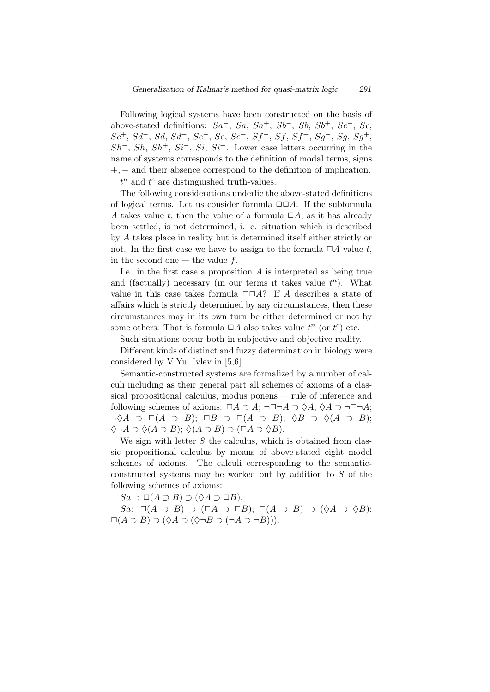Following logical systems have been constructed on the basis of above-stated definitions: *Sa−*, *Sa*, *Sa*+, *Sb−*, *Sb*, *Sb*+, *Sc−*, *Sc*, *Sc*+, *Sd−*, *Sd*, *Sd*+, *Se−*, *Se*, *Se*+, *Sf <sup>−</sup>*, *Sf*, *Sf* <sup>+</sup>, *Sg−*, *Sg*, *Sg*+, *Sh−*, *Sh*, *Sh*+, *Si−*, *Si*, *Si*+. Lower case letters occurring in the name of systems corresponds to the definition of modal terms, signs +*, −* and their absence correspond to the definition of implication.

 $t^n$  and  $t^c$  are distinguished truth-values.

The following considerations underlie the above-stated definitions of logical terms. Let us consider formula  $\Box \Box A$ . If the subformula *A* takes value *t*, then the value of a formula  $\Box A$ , as it has already been settled, is not determined, i. e. situation which is described by *A* takes place in reality but is determined itself either strictly or not. In the first case we have to assign to the formula  $\Box A$  value *t*, in the second one — the value *f*.

I.e. in the first case a proposition *A* is interpreted as being true and (factually) necessary (in our terms it takes value  $t^n$ ). What value in this case takes formula  $\square\square A$ ? If *A* describes a state of affairs which is strictly determined by any circumstances, then these circumstances may in its own turn be either determined or not by some others. That is formula  $\Box A$  also takes value  $t^n$  (or  $t^c$ ) etc.

Such situations occur both in subjective and objective reality.

Different kinds of distinct and fuzzy determination in biology were considered by V.Yu. Ivlev in [5,6].

Semantic-constructed systems are formalized by a number of calculi including as their general part all schemes of axioms of a classical propositional calculus, modus ponens — rule of inference and following schemes of axioms:  $\Box A \supset A$ ;  $\neg \Box \neg A \supset \Diamond A$ ;  $\Diamond A \supset \neg \Box \neg A$ ; *¬*♢*A ⊃ ✷*(*A ⊃ B*); *✷B ⊃ ✷*(*A ⊃ B*); ♢*B ⊃* ♢(*A ⊃ B*); ♢*¬A ⊃* ♢(*A ⊃ B*); ♢(*A ⊃ B*) *⊃* (*✷A ⊃* ♢*B*).

We sign with letter *S* the calculus, which is obtained from classic propositional calculus by means of above-stated eight model schemes of axioms. The calculi corresponding to the semanticconstructed systems may be worked out by addition to *S* of the following schemes of axioms:

*Sa−*: *✷*(*A ⊃ B*) *⊃* (♢*A ⊃ ✷B*).

*Sa*:  $\Box(A \supset B) \supset (\Box A \supset \Box B); \Box(A \supset B) \supset (\Diamond A \supset \Diamond B);$  $\Box(A \supset B) \supset (\Diamond A \supset (\Diamond \neg B \supset (\neg A \supset \neg B))).$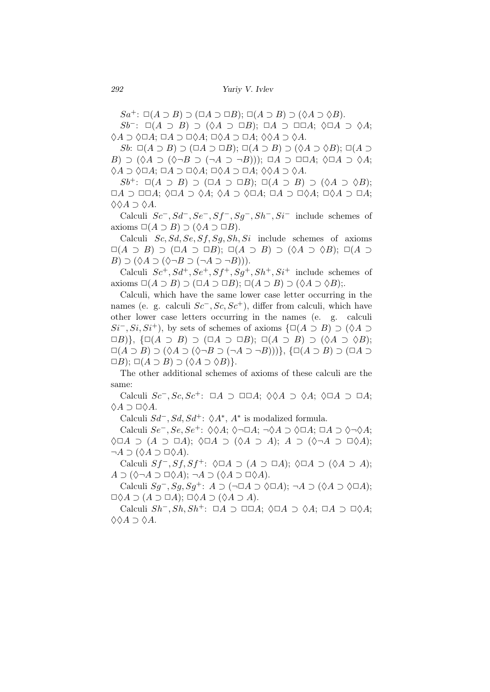*Sa*<sup>+</sup>:  $\Box(A \supset B) \supset (\Box A \supset \Box B); \Box(A \supset B) \supset (\Diamond A \supset \Diamond B).$ 

*Sb−*: *✷*(*A ⊃ B*) *⊃* (♢*A ⊃ ✷B*); *✷A ⊃ ✷✷A*; ♢*✷A ⊃* ♢*A*; ♢*A ⊃* ♢*✷A*; *✷A ⊃ ✷*♢*A*; *✷*♢*A ⊃ ✷A*; ♢♢*A ⊃* ♢*A*.

*Sb*:  $\Box(A \supset B) \supset (\Box A \supset \Box B)$ ;  $\Box(A \supset B) \supset (\Diamond A \supset \Diamond B)$ ;  $\Box(A \supset$ *B*) *⊃* (♢*A ⊃* (♢*¬B ⊃* (*¬A ⊃ ¬B*))); *✷A ⊃ ✷✷A*; ♢*✷A ⊃* ♢*A*; ♢*A ⊃* ♢*✷A*; *✷A ⊃ ✷*♢*A*; *✷*♢*A ⊃ ✷A*; ♢♢*A ⊃* ♢*A*.

*Sb*+: *✷*(*A ⊃ B*) *⊃* (*✷A ⊃ ✷B*); *✷*(*A ⊃ B*) *⊃* (♢*A ⊃* ♢*B*); *✷A ⊃ ✷✷A*; ♢*✷A ⊃* ♢*A*; ♢*A ⊃* ♢*✷A*; *✷A ⊃ ✷*♢*A*; *✷*♢*A ⊃ ✷A*; ♢♢*A ⊃* ♢*A*.

Calculi *Sc−, Sd−, Se−, Sf <sup>−</sup>, Sg−, Sh−, Si<sup>−</sup>* include schemes of  $\Box(A \supset B) \supset (\Diamond A \supset \Box B).$ 

Calculi *Sc, Sd, Se, Sf, Sg, Sh, Si* include schemes of axioms *✷*(*A ⊃ B*) *⊃* (*✷A ⊃ ✷B*); *✷*(*A ⊃ B*) *⊃* (♢*A ⊃* ♢*B*); *✷*(*A ⊃ B*)  $\supset$  ( $\Diamond A \supset$  ( $\Diamond \neg B \supset (\neg A \supset \neg B)$ )).

Calculi  $Sc^+, Sd^+, Se^+, Sf^+, Sg^+, Sh^+, Si^+$  include schemes of axioms  $\square(A \supset B) \supset (\square A \supset \square B)$ ;  $\square(A \supset B) \supset (\lozenge A \supset \lozenge B)$ ;.

Calculi, which have the same lower case letter occurring in the names (e. g. calculi *Sc−, Sc, Sc*+), differ from calculi, which have other lower case letters occurring in the names (e. g. calculi  $Si^-$ ,  $Si$ ,  $Si^+$ ), by sets of schemes of axioms  $\{\Box(A \supset B) \supset (\Diamond A \supset B)$ *✷B*)*}*, *{✷*(*A ⊃ B*) *⊃* (*✷A ⊃ ✷B*); *✷*(*A ⊃ B*) *⊃* (♢*A ⊃* ♢*B*); *✷*(*A ⊃ B*) *⊃* (♢*A ⊃* (♢*¬B ⊃* (*¬A ⊃ ¬B*)))*}*, *{✷*(*A ⊃ B*) *⊃* (*✷A ⊃*  $\Box B$ ;  $\Box(A \supset B) \supset (\Diamond A \supset \Diamond B)$ .

The other additional schemes of axioms of these calculi are the same:

Calculi *Sc−, Sc, Sc*+: *✷A ⊃ ✷✷A*; ♢♢*A ⊃* ♢*A*; ♢*✷A ⊃ ✷A*; ♢*A ⊃ ✷*♢*A*.

Calculi *Sd−, Sd, Sd*+: ♢*A<sup>∗</sup>* , *A<sup>∗</sup>* is modalized formula.

Calculi *Se−, Se, Se*+: ♢♢*A*; ♢*¬✷A*; *¬*♢*A ⊃* ♢*✷A*; *✷A ⊃* ♢*¬*♢*A*; ♢*✷A ⊃* (*A ⊃ ✷A*); ♢*✷A ⊃* (♢*A ⊃ A*); *A ⊃* (♢*¬A ⊃ ✷*♢*A*); *¬A ⊃* (♢*A ⊃ ✷*♢*A*).

Calculi *Sf <sup>−</sup>, Sf, Sf* <sup>+</sup>: ♢*✷A ⊃* (*A ⊃ ✷A*); ♢*✷A ⊃* (♢*A ⊃ A*); *A* ⊃ (♢¬*A* ⊃ □♢*A*); ¬*A* ⊃ (♢*A* ⊃ □♢*A*).

Calculi *Sg−, Sg, Sg*+: *A ⊃* (*¬✷A ⊃* ♢*✷A*); *¬A ⊃* (♢*A ⊃* ♢*✷A*); *✷*♢*A ⊃* (*A ⊃ ✷A*); *✷*♢*A ⊃* (♢*A ⊃ A*).

Calculi *Sh−, Sh, Sh*+: *✷A ⊃ ✷✷A*; ♢*✷A ⊃* ♢*A*; *✷A ⊃ ✷*♢*A*; ♢♢*A ⊃* ♢*A*.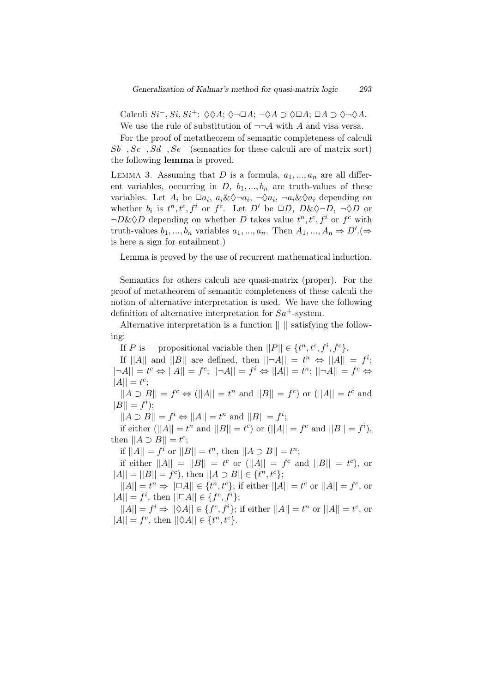Calculi *Si−, Si, Si*+: ♢♢*A*; ♢*¬✷A*; *¬*♢*A ⊃* ♢*✷A*; *✷A ⊃* ♢*¬*♢*A*. We use the rule of substitution of  $\neg\neg A$  with *A* and visa versa.

For the proof of metatheorem of semantic completeness of calculi  $Sb^-$ ,  $Sc^-$ ,  $Sd^-$ ,  $Se^-$  (semantics for these calculi are of matrix sort) the following lemma is proved.

LEMMA 3. Assuming that  $D$  is a formula,  $a_1, ..., a_n$  are all different variables, occurring in  $D, b_1, ..., b_n$  are truth-values of these variables. Let  $A_i$  be  $\Box a_i$ ,  $a_i \& \Diamond \neg a_i$ ,  $\neg \Diamond a_i$ ,  $\neg a_i \& \Diamond a_i$  depending on whether  $b_i$  is  $t^n, t^c, f^i$  or  $f^c$ . Let  $D'$  be  $\Box D, D \& \Diamond \neg D, \neg \Diamond D$  or  $\neg D\&\Diamond D$  depending on whether *D* takes value  $t^n, t^c, f^i$  or  $f^c$  with truth-values  $b_1, ..., b_n$  variables  $a_1, ..., a_n$ . Then  $A_1, ..., A_n \Rightarrow D'$ . is here a sign for entailment.)

Lemma is proved by the use of recurrent mathematical induction.

Semantics for others calculi are quasi-matrix (proper). For the proof of metatheorem of semantic completeness of these calculi the notion of alternative interpretation is used. We have the following definition of alternative interpretation for *Sa*+-system.

Alternative interpretation is a function || || satisfying the following:

If *P* is – propositional variable then  $||P|| \in \{t^n, t^c, f^i, f^c\}.$ 

If  $||A||$  and  $||B||$  are defined, then  $||\neg A|| = t^n \Leftrightarrow ||A|| = f^i;$  $||\neg A|| = t^c \Leftrightarrow ||A|| = f^c$ ;  $||\neg A|| = f^i \Leftrightarrow ||A|| = t^n$ ;  $||\neg A|| = f^c \Leftrightarrow$  $||A|| = t^c;$ 

 $||A \supset B|| = f^c \Leftrightarrow (||A|| = t^n \text{ and } ||B|| = f^c) \text{ or } (||A|| = t^c \text{ and } ||B|| = t^c \text{ and } ||B|| = t^c \text{ and } ||B|| = t^c \text{ and } ||B|| = t^c \text{ and } ||B|| = t^c \text{ and } ||B|| = t^c \text{ and } ||B|| = t^c \text{ and } ||B|| = t^c \text{ and } ||B|| = t^c \text{ and } ||B|| = t^c \text{ and } ||B|| = t^c \text{ and } ||B|| = t^c \text{ and } ||B|| = t^c \text{ and } ||B|| = t^c \text{$  $||B|| = f^i$ ;

 $||A \supset B|| = f^i \Leftrightarrow ||A|| = t^n$  and  $||B|| = f^i$ ;

if either  $(||A|| = t^n$  and  $||B|| = t^c$  or  $(||A|| = f^c$  and  $||B|| = f^i$ ), then  $||A \supset B|| = t^c$ ;

if  $||A|| = f^i$  or  $||B|| = t^n$ , then  $||A \supset B|| = t^n$ ;

if either  $||A|| = ||B|| = t^c$  or  $(||A|| = f^c$  and  $||B|| = t^c$ ), or  $||A|| = ||B|| = f^c$ , then  $||A \supset B|| \in \{t^n, t^c\}$ ;

 $||A|| = t^n \Rightarrow ||\Box A|| \in \{t^n, t^c\};$  if either  $||A|| = t^c$  or  $||A|| = f^c$ , or  $||A|| = f^i$ , then  $||\Box A|| \in \{f^c, f^i\};$ 

 $||A|| = f^i \Rightarrow ||\Diamond A|| \in \{f^c, f^i\};$  if either  $||A|| = t^n$  or  $||A|| = t^c$ , or  $||A|| = f^c$ , then  $||\Diamond A|| \in \{t^n, t^c\}$ .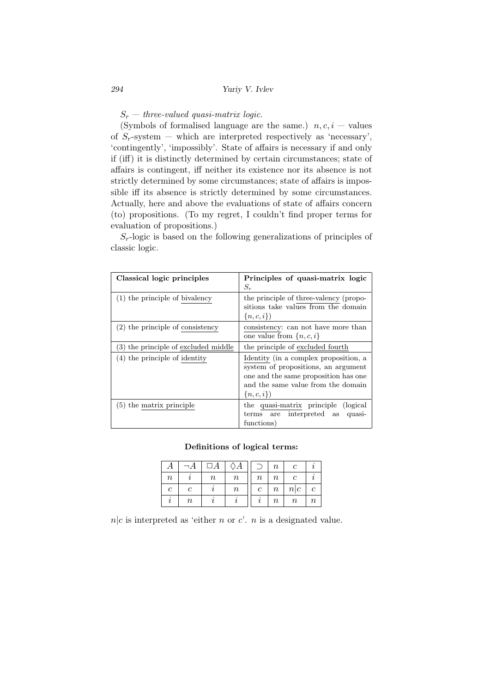$S_r$  — *three-valued quasi-matrix logic.* 

(Symbols of formalised language are the same.)  $n, c, i$  — values of  $S_r$ -system — which are interpreted respectively as 'necessary', 'contingently', 'impossibly'. State of affairs is necessary if and only if (iff) it is distinctly determined by certain circumstances; state of affairs is contingent, iff neither its existence nor its absence is not strictly determined by some circumstances; state of affairs is impossible iff its absence is strictly determined by some circumstances. Actually, here and above the evaluations of state of affairs concern (to) propositions. (To my regret, I couldn't find proper terms for evaluation of propositions.)

 $S_r$ -logic is based on the following generalizations of principles of classic logic.

| Classical logic principles           | Principles of quasi-matrix logic<br>$S_r$                                                                                                                                   |
|--------------------------------------|-----------------------------------------------------------------------------------------------------------------------------------------------------------------------------|
| $(1)$ the principle of bivalency     | the principle of three-valency (propo-<br>sitions take values from the domain<br>$\{n,c,i\}\}$                                                                              |
| $(2)$ the principle of consistency   | consistency: can not have more than<br>one value from $\{n, c, i\}$                                                                                                         |
| (3) the principle of excluded middle | the principle of excluded fourth                                                                                                                                            |
| $(4)$ the principle of identity      | Identity (in a complex proposition, a<br>system of propositions, an argument<br>one and the same proposition has one<br>and the same value from the domain<br>$\{n,c,i\}\}$ |
| $(5)$ the matrix principle           | the quasi-matrix principle (logical<br>terms are interpreted as<br>quasi-<br>functions)                                                                                     |

### Definitions of logical terms:

|                  |         | $\Box A$ | $\Diamond A$ |                  | $\boldsymbol{n}$ | с       |               |
|------------------|---------|----------|--------------|------------------|------------------|---------|---------------|
| $\boldsymbol{n}$ |         | $\it n$  | $\it n$      | $\, n$           | $\, n$           | с       |               |
| с                | с       |          | $\it n$      | $\boldsymbol{c}$ | $\, n \,$        | n c     | $\mathcal{C}$ |
|                  | $\it n$ |          |              |                  | $\, n$           | $\it n$ | $\, n$        |

 $n|c$  is interpreted as 'either *n* or *c*'. *n* is a designated value.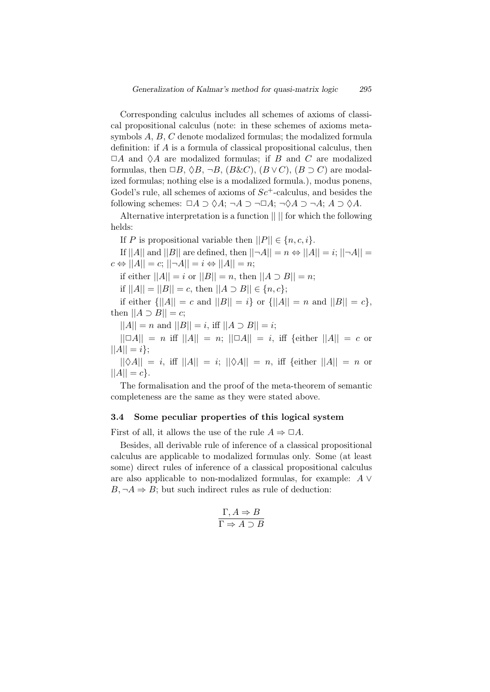Corresponding calculus includes all schemes of axioms of classical propositional calculus (note: in these schemes of axioms metasymbols *A*, *B*, *C* denote modalized formulas; the modalized formula definition: if *A* is a formula of classical propositional calculus, then *✷A* and ♢*A* are modalized formulas; if *B* and *C* are modalized formulas, then  $\Box B$ ,  $\Diamond B$ ,  $\neg B$ ,  $(B \& C)$ ,  $(B \lor C)$ ,  $(B \supset C)$  are modalized formulas; nothing else is a modalized formula.), modus ponens, Godel's rule, all schemes of axioms of  $Sc^+$ -calculus, and besides the following schemes:  $\Box A \supset \Diamond A$ ;  $\neg A \supset \neg \Box A$ ;  $\neg \Diamond A \supset \neg A$ ;  $A \supset \Diamond A$ .

Alternative interpretation is a function || || for which the following helds:

If *P* is propositional variable then  $||P|| \in \{n, c, i\}$ .

If  $||A||$  and  $||B||$  are defined, then  $||\neg A|| = n \Leftrightarrow ||A|| = i$ ;  $||\neg A|| =$  $c \Leftrightarrow ||A|| = c$ ;  $||\neg A|| = i \Leftrightarrow ||A|| = n$ ;

if either  $||A|| = i$  or  $||B|| = n$ , then  $||A \supset B|| = n$ ;

if  $||A|| = ||B|| = c$ , then  $||A ⊃ B|| ∈ {n, c}$ ;

if either  $\{||A|| = c \text{ and } ||B|| = i\}$  or  $\{||A|| = n \text{ and } ||B|| = c\}$ , then  $||A \supset B|| = c$ ;

 $||A|| = n$  and  $||B|| = i$ , iff  $||A \supset B|| = i$ ;

 $||\Box A|| = n$  iff  $||A|| = n$ ;  $||\Box A|| = i$ , iff *{*either  $||A|| = c$  or  $||A|| = i$ ;

 $||\diamond A|| = i$ , iff  $||A|| = i$ ;  $||\diamond A|| = n$ , iff  $\{$ either  $||A|| = n$  or  $||A|| = c$ .

The formalisation and the proof of the meta-theorem of semantic completeness are the same as they were stated above.

## 3.4 Some peculiar properties of this logical system

First of all, it allows the use of the rule  $A \Rightarrow \Box A$ .

Besides, all derivable rule of inference of a classical propositional calculus are applicable to modalized formulas only. Some (at least some) direct rules of inference of a classical propositional calculus are also applicable to non-modalized formulas, for example: *A ∨*  $B, \neg A \Rightarrow B$ ; but such indirect rules as rule of deduction:

$$
\frac{\Gamma, A \Rightarrow B}{\Gamma \Rightarrow A \supset B}
$$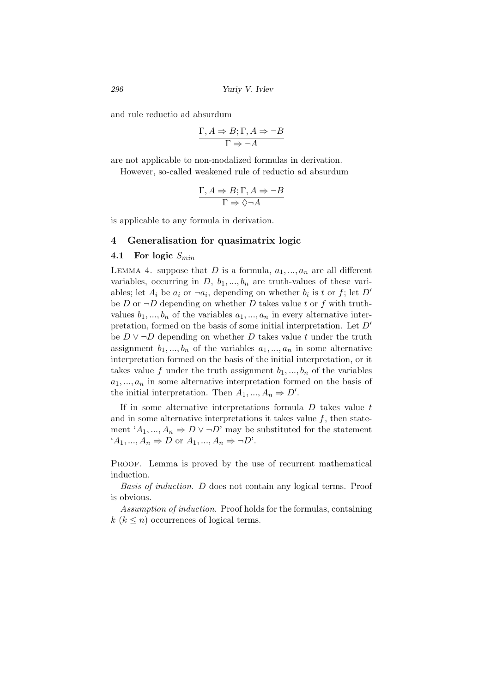and rule reductio ad absurdum

$$
\frac{\Gamma, A \Rightarrow B; \Gamma, A \Rightarrow \neg B}{\Gamma \Rightarrow \neg A}
$$

are not applicable to non-modalized formulas in derivation.

However, so-called weakened rule of reductio ad absurdum

$$
\frac{\Gamma, A \Rightarrow B; \Gamma, A \Rightarrow \neg B}{\Gamma \Rightarrow \Diamond \neg A}
$$

is applicable to any formula in derivation.

# 4 Generalisation for quasimatrix logic

## 4.1 For logic *Smin*

LEMMA 4. suppose that  $D$  is a formula,  $a_1, ..., a_n$  are all different variables, occurring in  $D, b_1, ..., b_n$  are truth-values of these variables; let  $A_i$  be  $a_i$  or  $\neg a_i$ , depending on whether  $b_i$  is t or  $f$ ; let  $D'$ be *D* or  $\neg D$  depending on whether *D* takes value *t* or *f* with truthvalues  $b_1, \ldots, b_n$  of the variables  $a_1, \ldots, a_n$  in every alternative interpretation, formed on the basis of some initial interpretation. Let *D′* be  $D \vee \neg D$  depending on whether  $D$  takes value  $t$  under the truth assignment  $b_1, ..., b_n$  of the variables  $a_1, ..., a_n$  in some alternative interpretation formed on the basis of the initial interpretation, or it takes value f under the truth assignment  $b_1, ..., b_n$  of the variables  $a_1, \ldots, a_n$  in some alternative interpretation formed on the basis of the initial interpretation. Then  $A_1, ..., A_n \Rightarrow D'$ .

If in some alternative interpretations formula *D* takes value *t* and in some alternative interpretations it takes value  $f$ , then statement  $'A_1, ..., A_n \Rightarrow D \vee \neg D'$  may be substituted for the statement  $'A_1, \ldots, A_n \Rightarrow D$  or  $A_1, \ldots, A_n \Rightarrow \neg D'$ .

PROOF. Lemma is proved by the use of recurrent mathematical induction.

*Basis of induction. D* does not contain any logical terms. Proof is obvious.

*Assumption of induction.* Proof holds for the formulas, containing  $k (k \leq n)$  occurrences of logical terms.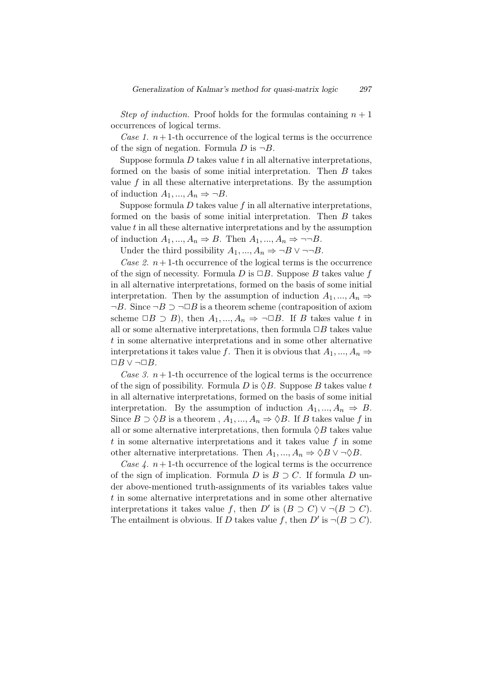*Step of induction.* Proof holds for the formulas containing  $n + 1$ occurrences of logical terms.

*Case 1.*  $n+1$ -th occurrence of the logical terms is the occurrence of the sign of negation. Formula  $D$  is  $\neg B$ .

Suppose formula *D* takes value *t* in all alternative interpretations, formed on the basis of some initial interpretation. Then *B* takes value  $f$  in all these alternative interpretations. By the assumption of induction  $A_1, ..., A_n \Rightarrow \neg B$ .

Suppose formula *D* takes value *f* in all alternative interpretations, formed on the basis of some initial interpretation. Then *B* takes value *t* in all these alternative interpretations and by the assumption of induction  $A_1, ..., A_n \Rightarrow B$ . Then  $A_1, ..., A_n \Rightarrow \neg\neg B$ .

Under the third possibility  $A_1, ..., A_n \Rightarrow \neg B \lor \neg \neg B$ .

*Case 2.*  $n+1$ -th occurrence of the logical terms is the occurrence of the sign of necessity. Formula  $D$  is  $\Box B$ . Suppose  $B$  takes value  $f$ in all alternative interpretations, formed on the basis of some initial interpretation. Then by the assumption of induction  $A_1, ..., A_n$   $\Rightarrow$ *¬B*. Since *¬B ⊃ ¬✷B* is a theorem scheme (contraposition of axiom scheme  $\Box B \supset B$ ), then  $A_1, ..., A_n \Rightarrow \neg \Box B$ . If *B* takes value *t* in all or some alternative interpretations, then formula  $\Box B$  takes value *t* in some alternative interpretations and in some other alternative interpretations it takes value *f*. Then it is obvious that  $A_1, ..., A_n$ *✷B ∨ ¬✷B*.

*Case 3.*  $n+1$ -th occurrence of the logical terms is the occurrence of the sign of possibility. Formula  $D$  is  $\Diamond B$ . Suppose  $B$  takes value  $t$ in all alternative interpretations, formed on the basis of some initial interpretation. By the assumption of induction  $A_1, ..., A_n \Rightarrow B$ . Since  $B \supset \Diamond B$  is a theorem ,  $A_1, ..., A_n \Rightarrow \Diamond B$ . If *B* takes value *f* in all or some alternative interpretations, then formula  $\Diamond B$  takes value *t* in some alternative interpretations and it takes value *f* in some other alternative interpretations. Then  $A_1, ..., A_n \Rightarrow \Diamond B \vee \neg \Diamond B$ .

*Case 4.*  $n+1$ -th occurrence of the logical terms is the occurrence of the sign of implication. Formula *D* is  $B \supset C$ . If formula *D* under above-mentioned truth-assignments of its variables takes value *t* in some alternative interpretations and in some other alternative interpretations it takes value *f*, then *D'* is  $(B \supset C) \vee \neg (B \supset C)$ . The entailment is obvious. If *D* takes value *f*, then *D'* is  $\neg(B \supset C)$ .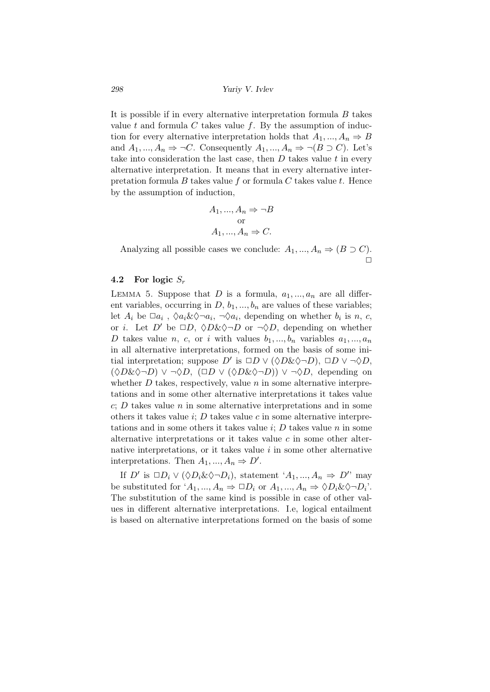It is possible if in every alternative interpretation formula *B* takes value *t* and formula *C* takes value *f*. Вy the assumption of induction for every alternative interpretation holds that  $A_1, ..., A_n \Rightarrow B$ and  $A_1, ..., A_n \Rightarrow \neg C$ . Consequently  $A_1, ..., A_n \Rightarrow \neg (B \supset C)$ . Let's take into consideration the last case, then *D* takes value *t* in every alternative interpretation. It means that in every alternative interpretation formula *B* takes value *f* or formula *C* takes value *t*. Hence by the assumption of induction,

$$
A_1, ..., A_n \Rightarrow \neg B
$$
  
or  

$$
A_1, ..., A_n \Rightarrow C.
$$

Analyzing all possible cases we conclude:  $A_1, ..., A_n \Rightarrow (B \supset C)$ .  $\Box$ 

# 4.2 For logic *S<sup>r</sup>*

LEMMA 5. Suppose that *D* is a formula,  $a_1, ..., a_n$  are all different variables, occurring in  $D, b_1, ..., b_n$  are values of these variables; let  $A_i$  be  $\Box a_i$ ,  $\Diamond a_i \& \Diamond \neg a_i$ ,  $\neg \Diamond a_i$ , depending on whether  $b_i$  is *n*, *c*, or *i*. Let  $D'$  be  $\Box D$ ,  $\Diamond D \& \Diamond \neg D$  or  $\neg \Diamond D$ , depending on whether *D* takes value *n*, *c*, or *i* with values  $b_1, ..., b_n$  variables  $a_1, ..., a_n$ in all alternative interpretations, formed on the basis of some initial interpretation; suppose  $D'$  is  $\Box D \lor (\Diamond D \& \Diamond \neg D)$ ,  $\Box D \lor \neg \Diamond D$ ,  $(\Diamond D\&\Diamond \neg D) \vee \neg \Diamond D$ ,  $(\Box D \vee (\Diamond D\&\Diamond \neg D)) \vee \neg \Diamond D$ , depending on whether  $D$  takes, respectively, value  $n$  in some alternative interpretations and in some other alternative interpretations it takes value *c*; *D* takes value *n* in some alternative interpretations and in some others it takes value *i*; *D* takes value *c* in some alternative interpretations and in some others it takes value *i*; *D* takes value *n* in some alternative interpretations or it takes value *c* in some other alternative interpretations, or it takes value *i* in some other alternative interpretations. Then  $A_1, ..., A_n \Rightarrow D'$ .

If *D'* is  $\Box D_i \vee (\Diamond D_i \& \Diamond \neg D_i)$ , statement '*A*<sub>1</sub>, ..., *A*<sub>*n*</sub>  $\Rightarrow$  *D'*' may be substituted for  $'A_1, ..., A_n \Rightarrow \Box D_i$  or  $A_1, ..., A_n \Rightarrow \Diamond D_i \& \Diamond \neg D_i$ . The substitution of the same kind is possible in case of other values in different alternative interpretations. I.e, logical entailment is based on alternative interpretations formed on the basis of some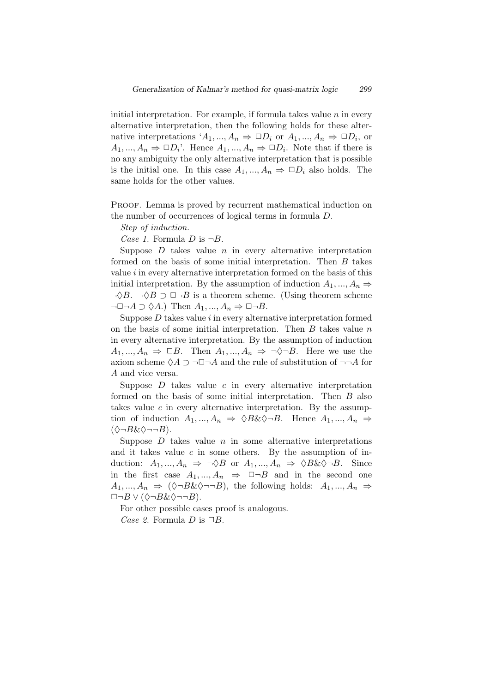initial interpretation. For example, if formula takes value *n* in every alternative interpretation, then the following holds for these alternative interpretations  $'A_1, ..., A_n \Rightarrow \Box D_i$  or  $A_1, ..., A_n \Rightarrow \Box D_i$ , or  $A_1, ..., A_n \Rightarrow \Box D_i$ . Hence  $A_1, ..., A_n \Rightarrow \Box D_i$ . Note that if there is no any ambiguity the only alternative interpretation that is possible is the initial one. In this case  $A_1, ..., A_n \Rightarrow \Box D_i$  also holds. The same holds for the other values.

PROOF. Lemma is proved by recurrent mathematical induction on the number of occurrences of logical terms in formula *D*.

*Step of induction.*

*Case 1.* Formula  $D$  is  $\neg B$ .

Suppose  $D$  takes value  $n$  in every alternative interpretation formed on the basis of some initial interpretation. Then *B* takes value *i* in every alternative interpretation formed on the basis of this initial interpretation. By the assumption of induction  $A_1, ..., A_n \Rightarrow$ *¬*♢*B*. *¬*♢*B ⊃ ✷¬B* is a theorem scheme. (Using theorem scheme  $\neg$ □ $\neg A$   $\supset \Diamond A$ .) Then  $A_1, ..., A_n$   $\Rightarrow$  □ $\neg B$ .

Suppose *D* takes value *i* in every alternative interpretation formed on the basis of some initial interpretation. Then *B* takes value *n* in every alternative interpretation. By the assumption of induction  $A_1, ..., A_n \Rightarrow \Box B$ . Then  $A_1, ..., A_n \Rightarrow \neg \Diamond \neg B$ . Here we use the axiom scheme  $\Diamond A \supset \neg \Box \neg A$  and the rule of substitution of  $\neg \neg A$  for *A* and vice versa.

Suppose *D* takes value *c* in every alternative interpretation formed on the basis of some initial interpretation. Тhen *B* also takes value *c* in every alternative interpretation. Вy the assumption of induction  $A_1, ..., A_n \Rightarrow \Diamond B \& \Diamond \neg B$ . Hence  $A_1, ..., A_n \Rightarrow$ (♢*¬B*&♢*¬¬B*).

Suppose  $D$  takes value  $n$  in some alternative interpretations and it takes value  $c$  in some others. By the assumption of induction:  $A_1, ..., A_n \Rightarrow \neg \Diamond B$  or  $A_1, ..., A_n \Rightarrow \Diamond B \& \Diamond \neg B$ . Since in the first case  $A_1, ..., A_n \Rightarrow \Box \neg B$  and in the second one  $A_1, \ldots, A_n \Rightarrow (\Diamond \neg B \& \Diamond \neg \neg B)$ , the following holds:  $A_1, \ldots, A_n \Rightarrow$ *✷¬B ∨* (♢*¬B*&♢*¬¬B*).

For other possible cases proof is analogous.

*Case 2.* Formula  $D$  is  $\Box B$ .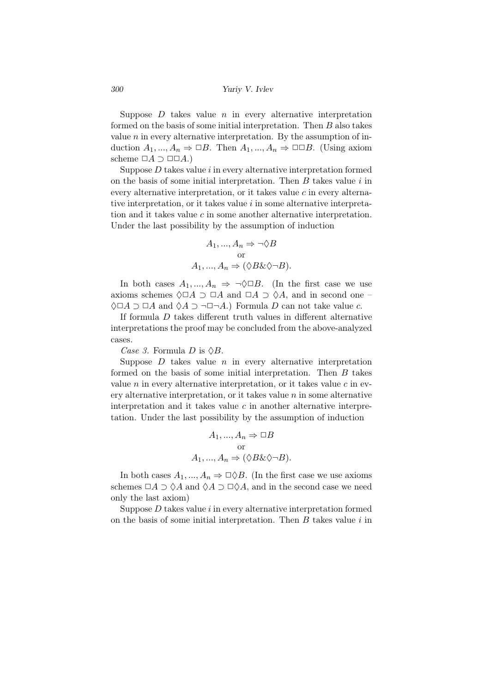Suppose  $D$  takes value  $n$  in every alternative interpretation formed on the basis of some initial interpretation. Тhen *B* also takes value  $n$  in every alternative interpretation. By the assumption of induction  $A_1, ..., A_n \Rightarrow \Box B$ . Then  $A_1, ..., A_n \Rightarrow \Box \Box B$ . (Using axiom scheme *✷A ⊃ ✷✷A*.)

Suppose *D* takes value *i* in every alternative interpretation formed on the basis of some initial interpretation. Тhen *B* takes value *i* in every alternative interpretation, or it takes value *c* in every alternative interpretation, or it takes value *i* in some alternative interpretation and it takes value *c* in some another alternative interpretation. Under the last possibility by the assumption of induction

$$
A_1, ..., A_n \Rightarrow \neg \Diamond B
$$
  
or  

$$
A_1, ..., A_n \Rightarrow (\Diamond B \& \Diamond \neg B).
$$

In both cases  $A_1, ..., A_n \Rightarrow \neg \Diamond \Box B$ . (In the first case we use axioms schemes  $\Diamond \Box A \supset \Box A$  and  $\Box A \supset \Diamond A$ , and in second one – ♢*✷A ⊃ ✷A* and ♢*A ⊃ ¬✷¬A*.) Formula *D* can not take value *c*.

If formula *D* takes different truth values in different alternative interpretations the proof may be concluded from the above-analyzed cases.

*Case 3.* Formula *D* is  $\Diamond B$ .

Suppose *D* takes value *n* in every alternative interpretation formed on the basis of some initial interpretation. Тhen *B* takes value  $n$  in every alternative interpretation, or it takes value  $c$  in every alternative interpretation, or it takes value *n* in some alternative interpretation and it takes value *c* in another alternative interpretation. Under the last possibility by the assumption of induction

$$
A_1, ..., A_n \Rightarrow \Box B
$$
  
or  

$$
A_1, ..., A_n \Rightarrow (\Diamond B \& \Diamond \neg B).
$$

In both cases  $A_1, ..., A_n \Rightarrow \Box \Diamond B$ . (In the first case we use axioms schemes  $\Box A \supset \Diamond A$  and  $\Diamond A \supset \Box \Diamond A$ , and in the second case we need only the last axiom)

Suppose *D* takes value *i* in every alternative interpretation formed on the basis of some initial interpretation. Тhen *B* takes value *i* in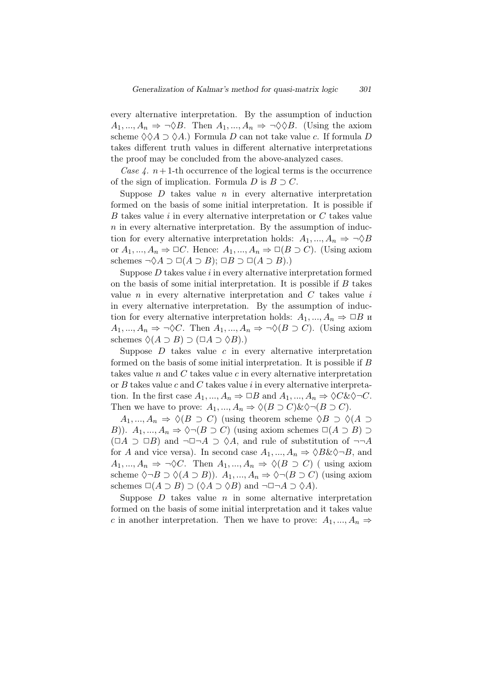every alternative interpretation. Вy the assumption of induction  $A_1, ..., A_n \Rightarrow \neg \Diamond B$ . Then  $A_1, ..., A_n \Rightarrow \neg \Diamond \Diamond B$ . (Using the axiom scheme  $\diamondsuit \diamond A \supset \diamondsuit A$ .) Formula *D* can not take value *c*. If formula *D* takes different truth values in different alternative interpretations the proof may be concluded from the above-analyzed cases.

*Case 4.*  $n+1$ -th occurrence of the logical terms is the occurrence of the sign of implication. Formula  $D$  is  $B \supset C$ .

Suppose *D* takes value *n* in every alternative interpretation formed on the basis of some initial interpretation. It is possible if *B* takes value *i* in every alternative interpretation or *C* takes value *n* in every alternative interpretation. By the assumption of induction for every alternative interpretation holds:  $A_1, ..., A_n \Rightarrow \neg \Diamond B$ or  $A_1, ..., A_n \Rightarrow \Box C$ . Hence:  $A_1, ..., A_n \Rightarrow \Box (B \supset C)$ . (Using axiom schemes  $\neg \Diamond A \supset \Box(A \supset B); \Box B \supset \Box(A \supset B).$ 

Suppose *D* takes value *i* in every alternative interpretation formed on the basis of some initial interpretation. It is possible if *B* takes value *n* in every alternative interpretation and *C* takes value *i* in every alternative interpretation. Вy the assumption of induction for every alternative interpretation holds:  $A_1, ..., A_n \Rightarrow \Box B$  *u*  $A_1, ..., A_n \Rightarrow \neg \Diamond C$ . Then  $A_1, ..., A_n \Rightarrow \neg \Diamond (B \supset C)$ . (Using axiom schemes  $\Diamond$ ( $A$  ⊃  $B$ ) ⊃ ( $\Box$  $A$  ⊃  $\Diamond$  $B$ ).)

Suppose *D* takes value *c* in every alternative interpretation formed on the basis of some initial interpretation. It is possible if *B* takes value *n* and *C* takes value *c* in every alternative interpretation or *B* takes value *c* and *C* takes value *i* in every alternative interpretation. In the first case  $A_1, ..., A_n \Rightarrow \Box B$  and  $A_1, ..., A_n \Rightarrow \Diamond C \& \Diamond \neg C$ . Then we have to prove:  $A_1, ..., A_n \Rightarrow \Diamond (B \supset C) \& \Diamond \neg (B \supset C)$ .

*A*<sub>1</sub>*, ..., A<sub>n</sub>*  $\Rightarrow$   $\Diamond$ (*B ⊃ C*) (using theorem scheme  $\Diamond$ *B ⊃*  $\Diamond$ (*A ⊃ B*)). *A*<sub>1</sub>*, ..., A*<sub>*n*</sub>  $\Rightarrow \Diamond \neg (B \supset C)$  (using axiom schemes  $\Box(A \supset B) \supset$  $(\Box A \supset \Box B)$  and  $\neg \Box \neg A \supset \Diamond A$ , and rule of substitution of  $\neg \neg A$ for *A* and vice versa). In second case  $A_1, ..., A_n \Rightarrow \Diamond B \& \Diamond \neg B$ , and  $A_1, ..., A_n \Rightarrow \neg \Diamond C$ . Then  $A_1, ..., A_n \Rightarrow \Diamond (B \supset C)$  (using axiom scheme  $\Diamond \neg B \supset \Diamond (A \supset B)$ .  $A_1, ..., A_n \Rightarrow \Diamond \neg (B \supset C)$  (using axiom schemes  $\square(A \supset B) \supset (\lozenge A \supset \lozenge B)$  and  $\neg \square \neg A \supset \lozenge A$ .

Suppose  $D$  takes value  $n$  in some alternative interpretation formed on the basis of some initial interpretation and it takes value *c* in another interpretation. Then we have to prove:  $A_1, ..., A_n$   $\Rightarrow$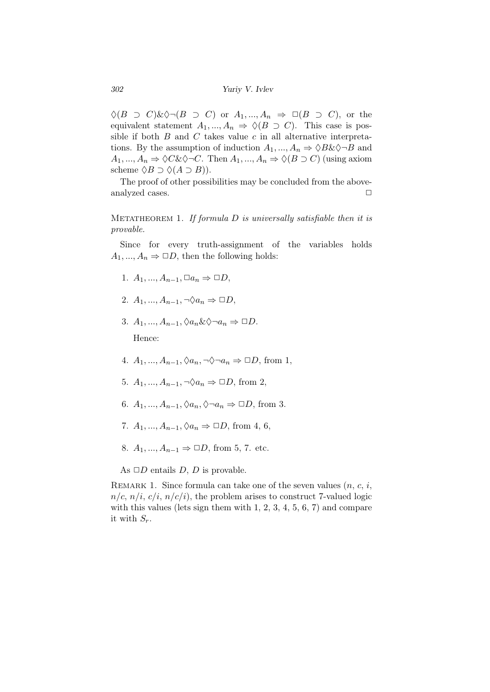*302 Yuriy V. Ivlev*

 $\Diamond (B \supset C) \& \Diamond \neg (B \supset C)$  or  $A_1, ..., A_n \Rightarrow \Box (B \supset C)$ , or the equivalent statement  $A_1, ..., A_n \Rightarrow \Diamond (B \supset C)$ . This case is possible if both *B* and *C* takes value *c* in all alternative interpretations. By the assumption of induction  $A_1, ..., A_n \Rightarrow \Diamond B \& \Diamond \neg B$  and  $A_1, ..., A_n \Rightarrow \Diamond C \& \Diamond \neg C$ . Then  $A_1, ..., A_n \Rightarrow \Diamond (B \supset C)$  (using axiom scheme  $\Diamond B \supset \Diamond (A \supset B)$ .

The proof of other possibilities may be concluded from the aboveanalyzed cases.  $\Box$ 

Metatheorem 1. *If formula D is universally satisfiable then it is provable.*

Since for every truth-assignment of the variables holds  $A_1, ..., A_n \Rightarrow \Box D$ , then the following holds:

- 1. *A*<sub>1</sub>*, ..., A*<sub>*n*−1</sub>*,* □*a*<sub>*n*</sub>  $\Rightarrow$  □*D*,
- 2. *A*<sub>1</sub>*, ..., A*<sub>*n*−1</sub>*,*  $\neg \Diamond a_n \Rightarrow \Box D$ ,
- 3. *A*<sub>1</sub>*, ..., A*<sub>*n*−1</sub>*,*  $\Diamond a_n \& \Diamond \neg a_n \Rightarrow \Box D$ . Hence:
- 4. *A*<sub>1</sub>*, ..., A*<sub>*n*−1</sub>*,*  $\Diamond a_n$ *, ¬* $\Diamond \neg a_n$  ⇒ □*D,* from 1*,*
- 5. *A*<sub>1</sub>*, ..., A*<sub>*n*−1</sub>*,*  $\neg \Diamond a_n$  ⇒ □*D*, from 2,
- 6. *A*<sub>1</sub>*, ..., A*<sub>*n*−1</sub>*,*  $\Diamond a_n$ *,*  $\Diamond \neg a_n \Rightarrow \Box D$ *,* from 3.
- 7. *A*<sub>1</sub>*, ..., A*<sub>*n*−1</sub>*,*  $\Diamond a_n \Rightarrow \Box D$ *,* from 4*,* 6*,*
- 8. *A*<sub>1</sub>*, ..., A*<sub>*n*−1</sub>  $\Rightarrow$  □*D,* from 5, 7. etc.
- As  $\Box D$  entails *D*, *D* is provable.

REMARK 1. Since formula can take one of the seven values  $(n, c, i)$ ,  $n/c$ ,  $n/i$ ,  $c/i$ ,  $n/c/i$ , the problem arises to construct 7-valued logic with this values (lets sign them with  $1, 2, 3, 4, 5, 6, 7$ ) and compare it with  $S_r$ .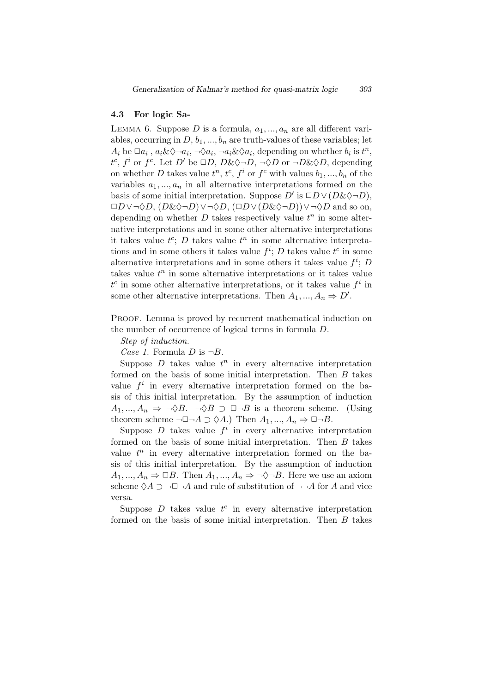### 4.3 For logic Sa-

LEMMA 6. Suppose  $D$  is a formula,  $a_1, ..., a_n$  are all different variables, occurring in  $D, b_1, ..., b_n$  are truth-values of these variables; let  $A_i$  be  $\Box a_i$ ,  $a_i \& \Diamond \neg a_i$ ,  $\neg \Diamond a_i$ ,  $\neg a_i \& \Diamond a_i$ , depending on whether  $b_i$  is  $t^n$ , *t*<sup>c</sup>, *f*<sup>*i*</sup> or *f*<sup>*c*</sup>. Let *D'* be  $\Box D$ , *D*& $\Diamond \neg D$ ,  $\neg \Diamond D$  or  $\neg D \& \Diamond D$ , depending on whether *D* takes value  $t^n$ ,  $t^c$ ,  $f^i$  or  $f^c$  with values  $b_1, ..., b_n$  of the variables  $a_1, ..., a_n$  in all alternative interpretations formed on the basis of some initial interpretation. Suppose  $D'$  is  $\Box D \lor (D \& \Diamond \neg D)$ , *✷D ∨¬*♢*D*, (*D*&♢*¬D*)*∨¬*♢*D*, (*✷D ∨*(*D*&♢*¬D*))*∨¬*♢*D* and so on, depending on whether  $D$  takes respectively value  $t^n$  in some alternative interpretations and in some other alternative interpretations it takes value  $t^c$ ; *D* takes value  $t^n$  in some alternative interpretations and in some others it takes value  $f^i$ ; *D* takes value  $t^c$  in some alternative interpretations and in some others it takes value  $f^i$ ; *D* takes value  $t^n$  in some alternative interpretations or it takes value  $t^c$  in some other alternative interpretations, or it takes value  $f^i$  in some other alternative interpretations. Then  $A_1, ..., A_n \Rightarrow D'$ .

PROOF. Lemma is proved by recurrent mathematical induction on the number of occurrence of logical terms in formula *D*.

*Step of induction.*

*Case 1.* Formula  $D$  is  $\neg B$ .

Suppose  $D$  takes value  $t^n$  in every alternative interpretation formed on the basis of some initial interpretation. Then *B* takes value  $f^i$  in every alternative interpretation formed on the basis of this initial interpretation. Вy the assumption of induction *A*<sub>1</sub>*, ..., A<sub>n</sub>*  $\Rightarrow \neg \Diamond B$ .  $\neg \Diamond B$  ⊃ □ $\neg B$  is a theorem scheme. (Using theorem scheme  $\neg \Box \neg A \supset \Diamond A$ .) Then  $A_1, ..., A_n \Rightarrow \Box \neg B$ .

Suppose  $D$  takes value  $f^i$  in every alternative interpretation formed on the basis of some initial interpretation. Then *B* takes value  $t^n$  in every alternative interpretation formed on the basis of this initial interpretation. Вy the assumption of induction  $A_1, ..., A_n \Rightarrow \Box B$ . Then  $A_1, ..., A_n \Rightarrow \neg \Diamond \neg B$ . Here we use an axiom scheme  $\Diamond A \supset \neg \Box \neg A$  and rule of substitution of  $\neg \neg A$  for *A* and vice versa.

Suppose  $D$  takes value  $t^c$  in every alternative interpretation formed on the basis of some initial interpretation. Then *B* takes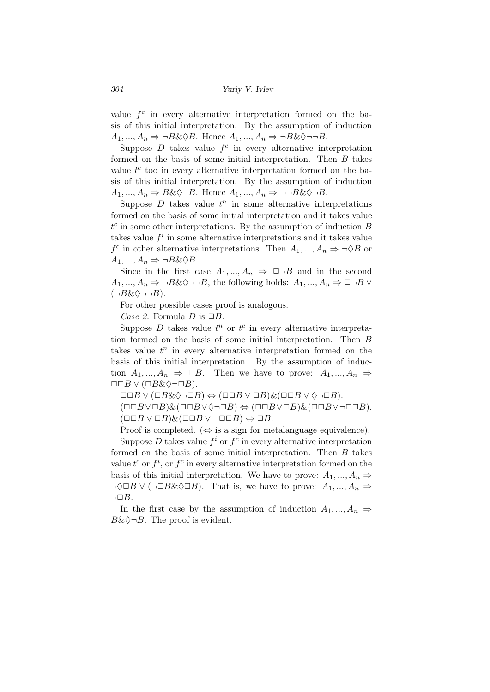value  $f^c$  in every alternative interpretation formed on the basis of this initial interpretation. Вy the assumption of induction  $A_1, \ldots, A_n \Rightarrow \neg B \& \Diamond B$ . Hence  $A_1, \ldots, A_n \Rightarrow \neg B \& \Diamond \neg \neg B$ .

Suppose  $D$  takes value  $f^c$  in every alternative interpretation formed on the basis of some initial interpretation. Then *B* takes value  $t^c$  too in every alternative interpretation formed on the basis of this initial interpretation. Вy the assumption of induction  $A_1, \ldots, A_n \Rightarrow B \& \Diamond \neg B$ . Hence  $A_1, \ldots, A_n \Rightarrow \neg \neg B \& \Diamond \neg B$ .

Suppose  $D$  takes value  $t^n$  in some alternative interpretations formed on the basis of some initial interpretation and it takes value  $t^c$  in some other interpretations. By the assumption of induction *B* takes value  $f^i$  in some alternative interpretations and it takes value *f*<sup>c</sup> in other alternative interpretations. Then  $A_1, ..., A_n \Rightarrow \neg \Diamond B$  or  $A_1, ..., A_n \Rightarrow \neg B \& \Diamond B.$ 

Since in the first case  $A_1, ..., A_n \Rightarrow \Box \neg B$  and in the second  $A_1, \ldots, A_n \Rightarrow \neg B \& \Diamond \neg \neg B$ , the following holds:  $A_1, \ldots, A_n \Rightarrow \Box \neg B \vee \Box$ (*¬B*&♢*¬¬B*).

For other possible cases proof is analogous.

*Case 2.* Formula *D* is  $\Box B$ .

Suppose  $D$  takes value  $t^n$  or  $t^c$  in every alternative interpretation formed on the basis of some initial interpretation. Then *B* takes value  $t^n$  in every alternative interpretation formed on the basis of this initial interpretation. Вy the assumption of induction  $A_1, ..., A_n \Rightarrow \Box B$ . Then we have to prove:  $A_1, ..., A_n \Rightarrow$ *✷✷B ∨* (*✷B*&♢*¬✷B*).

 $\Box$  $\Box B \vee (\Box B \& \Diamond \neg \Box B) \Leftrightarrow (\Box \Box B \vee \Box B) \& (\Box \Box B \vee \Diamond \neg \Box B).$ 

 $(\Box \Box B \lor \Box B) \& (\Box \Box B \lor \Diamond \neg \Box B) \Leftrightarrow (\Box \Box B \lor \Box B) \& (\Box \Box B \lor \neg \Box \Box B).$  $(□□B ∨ □B)$ & $(□□B ∨ ¬□□B)$   $\Leftrightarrow □B$ .

Proof is completed. (*⇔* is a sign for metalanguage equivalence).

Suppose  $D$  takes value  $f^i$  or  $f^c$  in every alternative interpretation formed on the basis of some initial interpretation. Then *B* takes value  $t^c$  or  $f^i$ , or  $f^c$  in every alternative interpretation formed on the basis of this initial interpretation. We have to prove:  $A_1, ..., A_n \Rightarrow$  $\neg \Diamond \Box B \lor (\neg \Box B \& \Diamond \Box B)$ . That is, we have to prove:  $A_1, ..., A_n$  ⇒  $\neg\Box B$ .

In the first case by the assumption of induction  $A_1, ..., A_n$   $\Rightarrow$ *B*& $\diamond$ *¬B*. The proof is evident.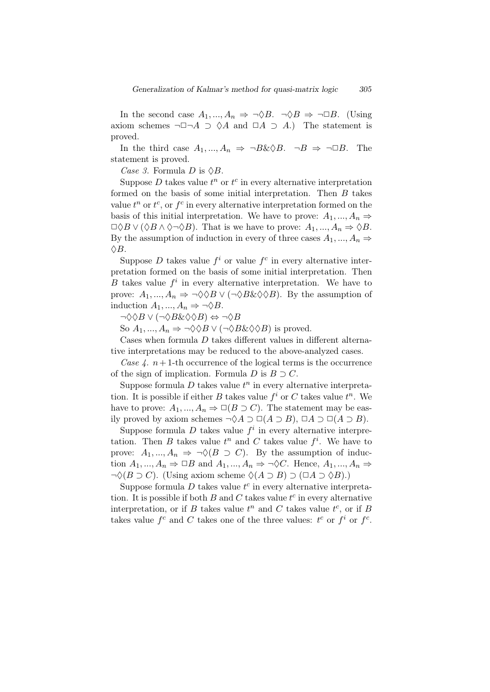In the second case  $A_1, ..., A_n \Rightarrow \neg \Diamond B$ .  $\neg \Diamond B \Rightarrow \neg \Box B$ . (Using axiom schemes  $\neg \Box \neg A \supset \Diamond A$  and  $\Box A \supset A$ .) The statement is proved.

In the third case  $A_1, ..., A_n \Rightarrow \neg B \& \Diamond B$ .  $\neg B \Rightarrow \neg \Box B$ . The statement is proved.

*Case 3.* Formula *D* is  $\Diamond B$ .

Suppose  $D$  takes value  $t^n$  or  $t^c$  in every alternative interpretation formed on the basis of some initial interpretation. Then *B* takes value  $t^n$  or  $t^c$ , or  $f^c$  in every alternative interpretation formed on the basis of this initial interpretation. We have to prove:  $A_1, ..., A_n \Rightarrow$  $\Box \Diamond B \lor (\Diamond B \land \Diamond \neg \Diamond B)$ . That is we have to prove:  $A_1, ..., A_n \Rightarrow \Diamond B$ . By the assumption of induction in every of three cases  $A_1, ..., A_n$ ♢*B*.

Suppose *D* takes value  $f^i$  or value  $f^c$  in every alternative interpretation formed on the basis of some initial interpretation. Then *B* takes value  $f^i$  in every alternative interpretation. We have to prove:  $A_1, ..., A_n \Rightarrow \neg \Diamond \Diamond B \lor (\neg \Diamond B \& \Diamond \Diamond B)$ . By the assumption of induction  $A_1, ..., A_n \Rightarrow \neg \Diamond B$ .

*¬*♢♢*B ∨* (*¬*♢*B*&♢♢*B*) *⇔ ¬*♢*B*

So  $A_1, ..., A_n \Rightarrow \neg \Diamond \Diamond B \lor (\neg \Diamond B \& \Diamond \Diamond B)$  is proved.

Cases when formula *D* takes different values in different alternative interpretations may be reduced to the above-analyzed cases.

*Case 4.*  $n+1$ -th occurrence of the logical terms is the occurrence of the sign of implication. Formula  $D$  is  $B \supset C$ .

Suppose formula  $D$  takes value  $t^n$  in every alternative interpretation. It is possible if either *B* takes value  $f^i$  or *C* takes value  $t^n$ . We have to prove:  $A_1, ..., A_n \Rightarrow \Box(B \supset C)$ . The statement may be easily proved by axiom schemes  $\neg \Diamond A \supset \Box(A \supset B)$ ,  $\Box A \supset \Box(A \supset B)$ .

Suppose formula  $D$  takes value  $f^i$  in every alternative interpretation. Then *B* takes value  $t^n$  and *C* takes value  $f^i$ . We have to prove:  $A_1, ..., A_n \Rightarrow \neg \Diamond (B \supset C)$ . By the assumption of induction  $A_1, ..., A_n \Rightarrow \Box B$  and  $A_1, ..., A_n \Rightarrow \neg \Diamond C$ . Hence,  $A_1, ..., A_n \Rightarrow$ *¬*♢(*B ⊃ C*). (Using axiom scheme ♢(*A ⊃ B*) *⊃* (*✷A ⊃* ♢*B*).)

Suppose formula  $D$  takes value  $t^c$  in every alternative interpretation. It is possible if both  $B$  and  $C$  takes value  $t^c$  in every alternative interpretation, or if *B* takes value  $t^n$  and *C* takes value  $t^c$ , or if *B* takes value  $f^c$  and  $C$  takes one of the three values:  $t^c$  or  $f^i$  or  $f^c$ .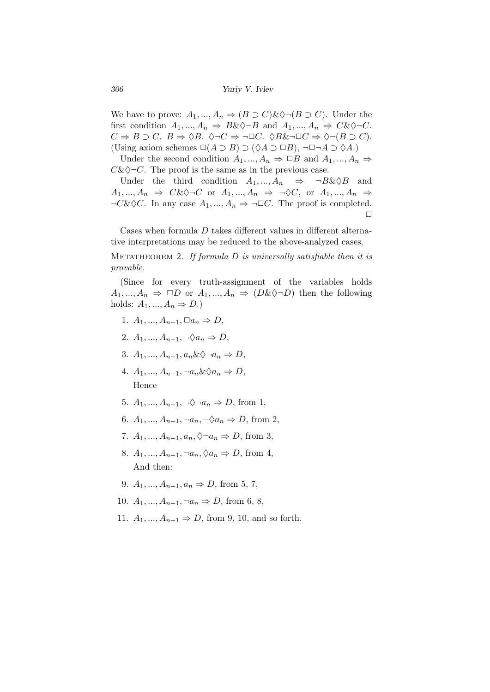*306 Yuriy V. Ivlev*

We have to prove:  $A_1, ..., A_n \Rightarrow (B \supset C) \& \Diamond \neg (B \supset C)$ . Under the first condition  $A_1, ..., A_n \Rightarrow B\&\Diamond \neg B$  and  $A_1, ..., A_n \Rightarrow C\&\Diamond \neg C$ . *C*  $\Rightarrow$  *B* ⊃ *C*. *B*  $\Rightarrow$   $\Diamond B$ .  $\Diamond \neg C \Rightarrow \neg \Box C$ .  $\Diamond B \& \neg \Box C \Rightarrow \Diamond \neg (B \supset C)$ . (Using axiom schemes  $\square(A \supset B) \supset (\lozenge A \supset \square B)$ , ¬ $\square \neg A \supset \lozenge A$ .)

Under the second condition  $A_1, ..., A_n \Rightarrow \Box B$  and  $A_1, ..., A_n \Rightarrow$  $C&\diamondsuit\neg C$ . The proof is the same as in the previous case.

Under the third condition  $A_1, ..., A_n \Rightarrow \neg B \& \Diamond B$  and  $A_1, \ldots, A_n \Rightarrow C \& \Diamond \neg C$  or  $A_1, \ldots, A_n \Rightarrow \neg \Diamond C$ , or  $A_1, \ldots, A_n \Rightarrow$  $\neg C\&\Diamond C$ . In any case  $A_1, ..., A_n \Rightarrow \neg \Box C$ . The proof is completed.  $\Box$ 

Cases when formula *D* takes different values in different alternative interpretations may be reduced to the above-analyzed cases.

Metatheorem 2. *If formula D is universally satisfiable then it is provable.*

(Since for every truth-assignment of the variables holds  $A_1, ..., A_n \Rightarrow \Box D$  or  $A_1, ..., A_n \Rightarrow (D \& \Diamond \neg D)$  then the following holds:  $A_1, ..., A_n \Rightarrow D.$ 

- 1.  $A_1, ..., A_{n-1}, \Box a_n \Rightarrow D$
- 2. *A*<sub>1</sub>*, ..., A*<sub>*n*−1</sub>*,*  $\neg \Diamond a_n \Rightarrow D$ ,
- 3. *A*<sub>1</sub>*, ..., A*<sub>*n*−1</sub>*, a*<sub>*n*</sub>&  $\Diamond \neg a_n \Rightarrow D$ ,
- 4. *A*1*, ..., An−*1*, ¬an*&♢*a<sup>n</sup> ⇒ D*, Hence
- 5. *A*<sub>1</sub>*, ..., A*<sub>*n*−1</sub>*,*  $\neg \Diamond \neg a_n \Rightarrow D$ , from 1,
- 6. *A*<sub>1</sub>*, ..., A*<sub>*n*−1</sub>*,*  $\neg a_n$ ,  $\neg \Diamond a_n \Rightarrow D$ , from 2,
- 7. *A*<sub>1</sub>*, ..., A*<sub>*n*−1</sub>*, a*<sub>*n*</sub>,  $\Diamond \neg a_n \Rightarrow D$ , from 3,
- 8. *A*<sub>1</sub>*, ..., A*<sub>*n*−1</sub>*,* ¬*a*<sub>*n*</sub>,  $\Diamond a_n \Rightarrow D$ , from 4, And then:
- 9. *A*<sub>1</sub>*, ..., A*<sub>*n*−1</sub>*, a*<sub>*n*</sub>  $\Rightarrow$  *D,* from 5, 7,
- 10. *A*<sub>1</sub>*, ..., A*<sub>*n*−1</sub>*,*  $\neg a_n \Rightarrow D$ , from 6, 8,
- 11. *A*1*, ..., An−*<sup>1</sup> *⇒ D*, from 9, 10, and so forth.